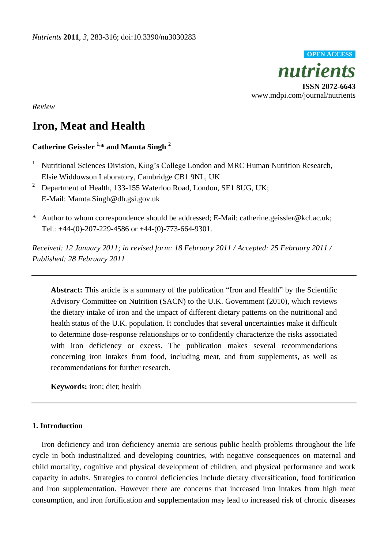

*Review*

# **Iron, Meat and Health**

# **Catherine Geissler 1, \* and Mamta Singh <sup>2</sup>**

- <sup>1</sup> Nutritional Sciences Division, King's College London and MRC Human Nutrition Research, Elsie Widdowson Laboratory, Cambridge CB1 9NL, UK
- <sup>2</sup> Department of Health, 133-155 Waterloo Road, London, SE1 8UG, UK; E-Mail: Mamta.Singh@dh.gsi.gov.uk
- \* Author to whom correspondence should be addressed; E-Mail: catherine.geissler@kcl.ac.uk; Tel.: +44-(0)-207-229-4586 or +44-(0)-773-664-9301.

*Received: 12 January 2011; in revised form: 18 February 2011 / Accepted: 25 February 2011 / Published: 28 February 2011* 

Abstract: This article is a summary of the publication "Iron and Health" by the Scientific Advisory Committee on Nutrition (SACN) to the U.K. Government (2010), which reviews the dietary intake of iron and the impact of different dietary patterns on the nutritional and health status of the U.K. population. It concludes that several uncertainties make it difficult to determine dose-response relationships or to confidently characterize the risks associated with iron deficiency or excess. The publication makes several recommendations concerning iron intakes from food, including meat, and from supplements, as well as recommendations for further research.

**Keywords:** iron; diet; health

## **1. Introduction**

Iron deficiency and iron deficiency anemia are serious public health problems throughout the life cycle in both industrialized and developing countries, with negative consequences on maternal and child mortality, cognitive and physical development of children, and physical performance and work capacity in adults. Strategies to control deficiencies include dietary diversification, food fortification and iron supplementation. However there are concerns that increased iron intakes from high meat consumption, and iron fortification and supplementation may lead to increased risk of chronic diseases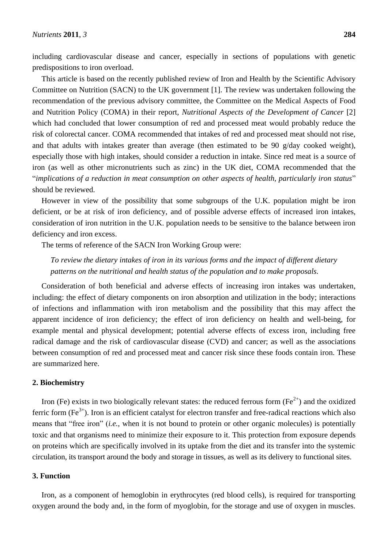including cardiovascular disease and cancer, especially in sections of populations with genetic predispositions to iron overload.

This article is based on the recently published review of Iron and Health by the Scientific Advisory Committee on Nutrition (SACN) to the UK government [1]. The review was undertaken following the recommendation of the previous advisory committee, the Committee on the Medical Aspects of Food and Nutrition Policy (COMA) in their report, *Nutritional Aspects of the Development of Cancer* [2] which had concluded that lower consumption of red and processed meat would probably reduce the risk of colorectal cancer. COMA recommended that intakes of red and processed meat should not rise, and that adults with intakes greater than average (then estimated to be 90 g/day cooked weight), especially those with high intakes, should consider a reduction in intake. Since red meat is a source of iron (as well as other micronutrients such as zinc) in the UK diet, COMA recommended that the "implications of a reduction in meat consumption on other aspects of health, particularly iron status" should be reviewed.

However in view of the possibility that some subgroups of the U.K. population might be iron deficient, or be at risk of iron deficiency, and of possible adverse effects of increased iron intakes, consideration of iron nutrition in the U.K. population needs to be sensitive to the balance between iron deficiency and iron excess.

The terms of reference of the SACN Iron Working Group were:

*To review the dietary intakes of iron in its various forms and the impact of different dietary patterns on the nutritional and health status of the population and to make proposals.*

Consideration of both beneficial and adverse effects of increasing iron intakes was undertaken, including: the effect of dietary components on iron absorption and utilization in the body; interactions of infections and inflammation with iron metabolism and the possibility that this may affect the apparent incidence of iron deficiency; the effect of iron deficiency on health and well-being, for example mental and physical development; potential adverse effects of excess iron, including free radical damage and the risk of cardiovascular disease (CVD) and cancer; as well as the associations between consumption of red and processed meat and cancer risk since these foods contain iron. These are summarized here.

## **2. Biochemistry**

Iron (Fe) exists in two biologically relevant states: the reduced ferrous form (Fe<sup>2+</sup>) and the oxidized ferric form  $(Fe^{3+})$ . Iron is an efficient catalyst for electron transfer and free-radical reactions which also means that "free iron" *(i.e.*, when it is not bound to protein or other organic molecules) is potentially toxic and that organisms need to minimize their exposure to it. This protection from exposure depends on proteins which are specifically involved in its uptake from the diet and its transfer into the systemic circulation, its transport around the body and storage in tissues, as well as its delivery to functional sites.

#### **3. Function**

Iron, as a component of hemoglobin in erythrocytes (red blood cells), is required for transporting oxygen around the body and, in the form of myoglobin, for the storage and use of oxygen in muscles.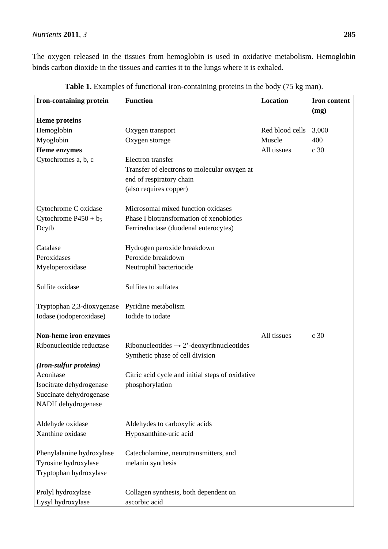The oxygen released in the tissues from hemoglobin is used in oxidative metabolism. Hemoglobin binds carbon dioxide in the tissues and carries it to the lungs where it is exhaled.

| <b>Iron-containing protein</b> | Location                                             | Iron content    |                 |
|--------------------------------|------------------------------------------------------|-----------------|-----------------|
|                                |                                                      |                 | (mg)            |
| <b>Heme proteins</b>           |                                                      |                 |                 |
| Hemoglobin                     | Oxygen transport                                     | Red blood cells | 3,000           |
| Myoglobin                      | Oxygen storage                                       | Muscle          | 400             |
| Heme enzymes                   |                                                      | All tissues     | c 30            |
| Cytochromes a, b, c            | Electron transfer                                    |                 |                 |
|                                | Transfer of electrons to molecular oxygen at         |                 |                 |
|                                | end of respiratory chain                             |                 |                 |
|                                | (also requires copper)                               |                 |                 |
| Cytochrome C oxidase           | Microsomal mixed function oxidases                   |                 |                 |
| Cytochrome $P450 + b_5$        | Phase I biotransformation of xenobiotics             |                 |                 |
| Dcytb                          | Ferrireductase (duodenal enterocytes)                |                 |                 |
| Catalase                       | Hydrogen peroxide breakdown                          |                 |                 |
| Peroxidases                    | Peroxide breakdown                                   |                 |                 |
| Myeloperoxidase                | Neutrophil bacteriocide                              |                 |                 |
| Sulfite oxidase                | Sulfites to sulfates                                 |                 |                 |
| Tryptophan 2,3-dioxygenase     | Pyridine metabolism                                  |                 |                 |
| Iodase (iodoperoxidase)        | Iodide to iodate                                     |                 |                 |
| Non-heme iron enzymes          |                                                      | All tissues     | c <sub>30</sub> |
| Ribonucleotide reductase       | Ribonucleotides $\rightarrow$ 2'-deoxyribnucleotides |                 |                 |
| (Iron-sulfur proteins)         | Synthetic phase of cell division                     |                 |                 |
| Aconitase                      | Citric acid cycle and initial steps of oxidative     |                 |                 |
| Isocitrate dehydrogenase       | phosphorylation                                      |                 |                 |
| Succinate dehydrogenase        |                                                      |                 |                 |
| NADH dehydrogenase             |                                                      |                 |                 |
|                                |                                                      |                 |                 |
| Aldehyde oxidase               | Aldehydes to carboxylic acids                        |                 |                 |
| Xanthine oxidase               | Hypoxanthine-uric acid                               |                 |                 |
| Phenylalanine hydroxylase      | Catecholamine, neurotransmitters, and                |                 |                 |
| Tyrosine hydroxylase           | melanin synthesis                                    |                 |                 |
| Tryptophan hydroxylase         |                                                      |                 |                 |
| Prolyl hydroxylase             | Collagen synthesis, both dependent on                |                 |                 |
| Lysyl hydroxylase              | ascorbic acid                                        |                 |                 |

Table 1. Examples of functional iron-containing proteins in the body (75 kg man).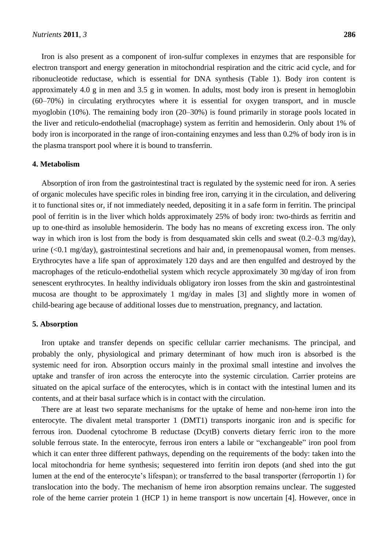Iron is also present as a component of iron-sulfur complexes in enzymes that are responsible for electron transport and energy generation in mitochondrial respiration and the citric acid cycle, and for ribonucleotide reductase, which is essential for DNA synthesis (Table 1). Body iron content is approximately 4.0 g in men and 3.5 g in women. In adults, most body iron is present in hemoglobin (60–70%) in circulating erythrocytes where it is essential for oxygen transport, and in muscle myoglobin (10%). The remaining body iron (20–30%) is found primarily in storage pools located in the liver and reticulo-endothelial (macrophage) system as ferritin and hemosiderin. Only about 1% of body iron is incorporated in the range of iron-containing enzymes and less than 0.2% of body iron is in the plasma transport pool where it is bound to transferrin.

#### **4. Metabolism**

Absorption of iron from the gastrointestinal tract is regulated by the systemic need for iron. A series of organic molecules have specific roles in binding free iron, carrying it in the circulation, and delivering it to functional sites or, if not immediately needed, depositing it in a safe form in ferritin. The principal pool of ferritin is in the liver which holds approximately 25% of body iron: two-thirds as ferritin and up to one-third as insoluble hemosiderin. The body has no means of excreting excess iron. The only way in which iron is lost from the body is from desquamated skin cells and sweat (0.2–0.3 mg/day), urine (<0.1 mg/day), gastrointestinal secretions and hair and, in premenopausal women, from menses. Erythrocytes have a life span of approximately 120 days and are then engulfed and destroyed by the macrophages of the reticulo-endothelial system which recycle approximately 30 mg/day of iron from senescent erythrocytes. In healthy individuals obligatory iron losses from the skin and gastrointestinal mucosa are thought to be approximately 1 mg/day in males [3] and slightly more in women of child-bearing age because of additional losses due to menstruation, pregnancy, and lactation.

#### **5. Absorption**

Iron uptake and transfer depends on specific cellular carrier mechanisms. The principal, and probably the only, physiological and primary determinant of how much iron is absorbed is the systemic need for iron*.* Absorption occurs mainly in the proximal small intestine and involves the uptake and transfer of iron across the enterocyte into the systemic circulation. Carrier proteins are situated on the apical surface of the enterocytes, which is in contact with the intestinal lumen and its contents, and at their basal surface which is in contact with the circulation.

There are at least two separate mechanisms for the uptake of heme and non-heme iron into the enterocyte. The divalent metal transporter 1 (DMT1) transports inorganic iron and is specific for ferrous iron. Duodenal cytochrome B reductase (DcytB) converts dietary ferric iron to the more soluble ferrous state. In the enterocyte, ferrous iron enters a labile or "exchangeable" iron pool from which it can enter three different pathways, depending on the requirements of the body: taken into the local mitochondria for heme synthesis; sequestered into ferritin iron depots (and shed into the gut lumen at the end of the enterocyte's lifespan); or transferred to the basal transporter (ferroportin 1) for translocation into the body. The mechanism of heme iron absorption remains unclear. The suggested role of the heme carrier protein 1 (HCP 1) in heme transport is now uncertain [4]. However, once in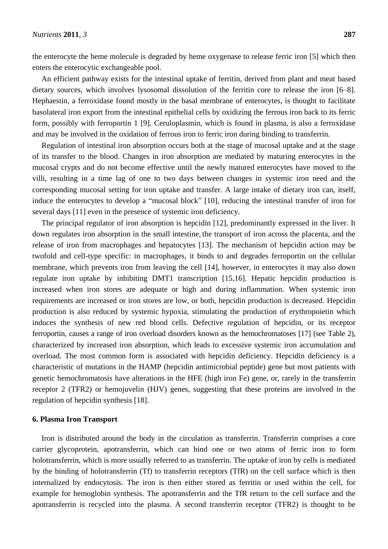the enterocyte the heme molecule is degraded by heme oxygenase to release ferric iron [5] which then enters the enterocytic exchangeable pool.

An efficient pathway exists for the intestinal uptake of ferritin, derived from plant and meat based dietary sources, which involves lysosomal dissolution of the ferritin core to release the iron [6–8]. Hephaestin, a ferroxidase found mostly in the basal membrane of enterocytes, is thought to facilitate basolateral iron export from the intestinal epithelial cells by oxidizing the ferrous iron back to its ferric form, possibly with ferroportin 1 [9]. Ceruloplasmin, which is found in plasma, is also a ferroxidase and may be involved in the oxidation of ferrous iron to ferric iron during binding to transferrin.

Regulation of intestinal iron absorption occurs both at the stage of mucosal uptake and at the stage of its transfer to the blood. Changes in iron absorption are mediated by maturing enterocytes in the mucosal crypts and do not become effective until the newly matured enterocytes have moved to the villi, resulting in a time lag of one to two days between changes in systemic iron need and the corresponding mucosal setting for iron uptake and transfer. A large intake of dietary iron can, itself, induce the enterocytes to develop a "mucosal block" [10], reducing the intestinal transfer of iron for several days [11] even in the presence of systemic iron deficiency.

The principal regulator of iron absorption is hepcidin [12], predominantly expressed in the liver. It down regulates iron absorption in the small intestine, the transport of iron across the placenta, and the release of iron from macrophages and hepatocytes [13]. The mechanism of hepcidin action may be twofold and cell-type specific: in macrophages, it binds to and degrades ferroportin on the cellular membrane, which prevents iron from leaving the cell [14], however, in enterocytes it may also down regulate iron uptake by inhibiting DMT1 transcription [15,16]. Hepatic hepcidin production is increased when iron stores are adequate or high and during inflammation. When systemic iron requirements are increased or iron stores are low, or both, hepcidin production is decreased. Hepcidin production is also reduced by systemic hypoxia, stimulating the production of erythropoietin which induces the synthesis of new red blood cells. Defective regulation of hepcidin, or its receptor ferroportin, causes a range of iron overload disorders known as the hemochromatoses [17] (see Table 2), characterized by increased iron absorption, which leads to excessive systemic iron accumulation and overload. The most common form is associated with hepcidin deficiency. Hepcidin deficiency is a characteristic of mutations in the HAMP (hepcidin antimicrobial peptide) gene but most patients with genetic hemochromatosis have alterations in the HFE (high iron Fe) gene, or, rarely in the transferrin receptor 2 (TFR2) or hemojuvelin (HJV) genes, suggesting that these proteins are involved in the regulation of hepcidin synthesis [18].

#### **6. Plasma Iron Transport**

Iron is distributed around the body in the circulation as transferrin. Transferrin comprises a core carrier glycoprotein, apotransferrin, which can bind one or two atoms of ferric iron to form holotransferrin, which is more usually referred to as transferrin. The uptake of iron by cells is mediated by the binding of holotransferrin (Tf) to transferrin receptors (TfR) on the cell surface which is then internalized by endocytosis. The iron is then either stored as ferritin or used within the cell, for example for hemoglobin synthesis. The apotransferrin and the TfR return to the cell surface and the apotransferrin is recycled into the plasma. A second transferrin receptor (TFR2) is thought to be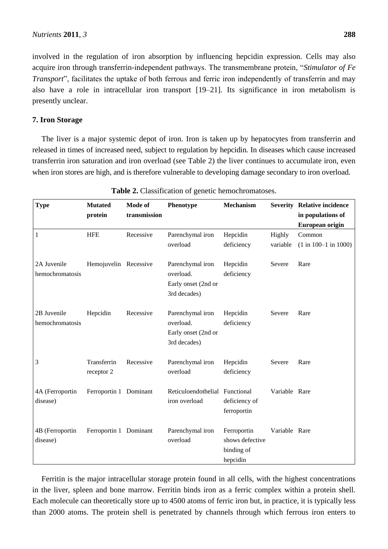involved in the regulation of iron absorption by influencing hepcidin expression. Cells may also acquire iron through transferrin-independent pathways. The transmembrane protein, "Stimulator of Fe *Transport*", facilitates the uptake of both ferrous and ferric iron independently of transferrin and may also have a role in intracellular iron transport [19–21]. Its significance in iron metabolism is presently unclear.

#### **7. Iron Storage**

The liver is a major systemic depot of iron. Iron is taken up by hepatocytes from transferrin and released in times of increased need, subject to regulation by hepcidin. In diseases which cause increased transferrin iron saturation and iron overload (see Table 2) the liver continues to accumulate iron, even when iron stores are high, and is therefore vulnerable to developing damage secondary to iron overload.

| <b>Type</b>                    | <b>Mutated</b><br>protein | Mode of<br>transmission | Phenotype                                                            | Mechanism                                                |                    | <b>Severity Relative incidence</b><br>in populations of<br>European origin |
|--------------------------------|---------------------------|-------------------------|----------------------------------------------------------------------|----------------------------------------------------------|--------------------|----------------------------------------------------------------------------|
| $\mathbf{1}$                   | <b>HFE</b>                | Recessive               | Parenchymal iron<br>overload                                         | Hepcidin<br>deficiency                                   | Highly<br>variable | Common<br>$(1 in 100-1 in 1000)$                                           |
| 2A Juvenile<br>hemochromatosis | Hemojuvelin Recessive     |                         | Parenchymal iron<br>overload.<br>Early onset (2nd or<br>3rd decades) | Hepcidin<br>deficiency                                   | Severe             | Rare                                                                       |
| 2B Juvenile<br>hemochromatosis | Hepcidin                  | Recessive               | Parenchymal iron<br>overload.<br>Early onset (2nd or<br>3rd decades) | Hepcidin<br>deficiency                                   | Severe             | Rare                                                                       |
| 3                              | Transferrin<br>receptor 2 | Recessive               | Parenchymal iron<br>overload                                         | Hepcidin<br>deficiency                                   | Severe             | Rare                                                                       |
| 4A (Ferroportin<br>disease)    | Ferroportin 1 Dominant    |                         | Reticuloendothelial Functional<br>iron overload                      | deficiency of<br>ferroportin                             | Variable Rare      |                                                                            |
| 4B (Ferroportin<br>disease)    | Ferroportin 1 Dominant    |                         | Parenchymal iron<br>overload                                         | Ferroportin<br>shows defective<br>binding of<br>hepcidin | Variable Rare      |                                                                            |

Table 2. Classification of genetic hemochromatoses.

Ferritin is the major intracellular storage protein found in all cells, with the highest concentrations in the liver, spleen and bone marrow. Ferritin binds iron as a ferric complex within a protein shell. Each molecule can theoretically store up to 4500 atoms of ferric iron but, in practice, it is typically less than 2000 atoms. The protein shell is penetrated by channels through which ferrous iron enters to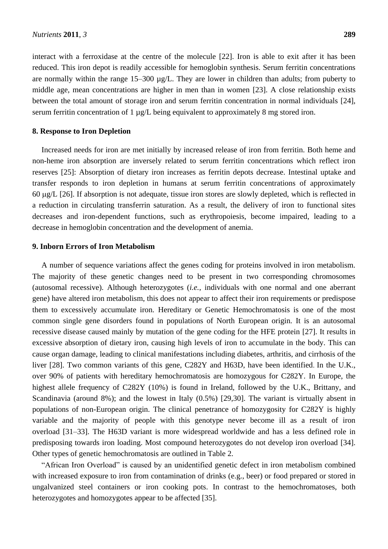interact with a ferroxidase at the centre of the molecule [22]. Iron is able to exit after it has been reduced. This iron depot is readily accessible for hemoglobin synthesis. Serum ferritin concentrations are normally within the range 15–300  $\mu$ g/L. They are lower in children than adults; from puberty to middle age, mean concentrations are higher in men than in women [23]. A close relationship exists between the total amount of storage iron and serum ferritin concentration in normal individuals [24], serum ferritin concentration of 1 µg/L being equivalent to approximately 8 mg stored iron.

#### **8. Response to Iron Depletion**

Increased needs for iron are met initially by increased release of iron from ferritin. Both heme and non-heme iron absorption are inversely related to serum ferritin concentrations which reflect iron reserves [25]: Absorption of dietary iron increases as ferritin depots decrease. Intestinal uptake and transfer responds to iron depletion in humans at serum ferritin concentrations of approximately 60  $\mu$ g/L [26]. If absorption is not adequate, tissue iron stores are slowly depleted, which is reflected in a reduction in circulating transferrin saturation. As a result, the delivery of iron to functional sites decreases and iron-dependent functions, such as erythropoiesis, become impaired, leading to a decrease in hemoglobin concentration and the development of anemia.

#### **9. Inborn Errors of Iron Metabolism**

A number of sequence variations affect the genes coding for proteins involved in iron metabolism. The majority of these genetic changes need to be present in two corresponding chromosomes (autosomal recessive). Although heterozygotes (*i.e.*, individuals with one normal and one aberrant gene) have altered iron metabolism, this does not appear to affect their iron requirements or predispose them to excessively accumulate iron. Hereditary or Genetic Hemochromatosis is one of the most common single gene disorders found in populations of North European origin. It is an autosomal recessive disease caused mainly by mutation of the gene coding for the HFE protein [27]. It results in excessive absorption of dietary iron, causing high levels of iron to accumulate in the body. This can cause organ damage, leading to clinical manifestations including diabetes, arthritis, and cirrhosis of the liver [28]. Two common variants of this gene, C282Y and H63D, have been identified. In the U.K., over 90% of patients with hereditary hemochromatosis are homozygous for C282Y. In Europe, the highest allele frequency of C282Y (10%) is found in Ireland, followed by the U.K., Brittany, and Scandinavia (around 8%); and the lowest in Italy (0.5%) [29,30]. The variant is virtually absent in populations of non-European origin. The clinical penetrance of homozygosity for C282Y is highly variable and the majority of people with this genotype never become ill as a result of iron overload [31–33]. The H63D variant is more widespread worldwide and has a less defined role in predisposing towards iron loading. Most compound heterozygotes do not develop iron overload [34]. Other types of genetic hemochromatosis are outlined in Table 2.

―African Iron Overload‖ is caused by an unidentified genetic defect in iron metabolism combined with increased exposure to iron from contamination of drinks (e.g., beer) or food prepared or stored in ungalvanized steel containers or iron cooking pots. In contrast to the hemochromatoses, both heterozygotes and homozygotes appear to be affected [35].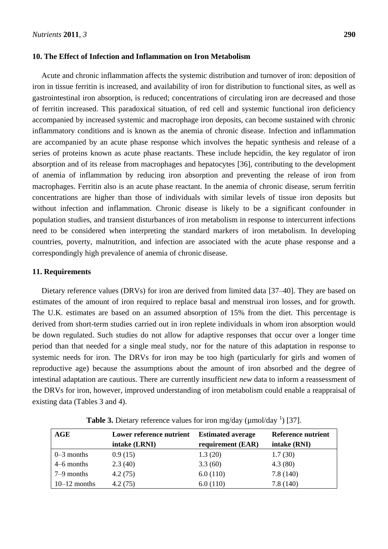#### **10. The Effect of Infection and Inflammation on Iron Metabolism**

Acute and chronic inflammation affects the systemic distribution and turnover of iron: deposition of iron in tissue ferritin is increased, and availability of iron for distribution to functional sites, as well as gastrointestinal iron absorption, is reduced; concentrations of circulating iron are decreased and those of ferritin increased. This paradoxical situation, of red cell and systemic functional iron deficiency accompanied by increased systemic and macrophage iron deposits, can become sustained with chronic inflammatory conditions and is known as the anemia of chronic disease. Infection and inflammation are accompanied by an acute phase response which involves the hepatic synthesis and release of a series of proteins known as acute phase reactants. These include hepcidin, the key regulator of iron absorption and of its release from macrophages and hepatocytes [36], contributing to the development of anemia of inflammation by reducing iron absorption and preventing the release of iron from macrophages. Ferritin also is an acute phase reactant. In the anemia of chronic disease, serum ferritin concentrations are higher than those of individuals with similar levels of tissue iron deposits but without infection and inflammation. Chronic disease is likely to be a significant confounder in population studies, and transient disturbances of iron metabolism in response to intercurrent infections need to be considered when interpreting the standard markers of iron metabolism. In developing countries, poverty, malnutrition, and infection are associated with the acute phase response and a correspondingly high prevalence of anemia of chronic disease.

#### **11. Requirements**

Dietary reference values (DRVs) for iron are derived from limited data [37–40]. They are based on estimates of the amount of iron required to replace basal and menstrual iron losses, and for growth. The U.K. estimates are based on an assumed absorption of 15% from the diet. This percentage is derived from short-term studies carried out in iron replete individuals in whom iron absorption would be down regulated. Such studies do not allow for adaptive responses that occur over a longer time period than that needed for a single meal study, nor for the nature of this adaptation in response to systemic needs for iron. The DRVs for iron may be too high (particularly for girls and women of reproductive age) because the assumptions about the amount of iron absorbed and the degree of intestinal adaptation are cautious. There are currently insufficient *new* data to inform a reassessment of the DRVs for iron, however, improved understanding of iron metabolism could enable a reappraisal of existing data (Tables 3 and 4).

| AGE            | Lower reference nutrient | <b>Estimated average</b> | Reference nutrient |  |
|----------------|--------------------------|--------------------------|--------------------|--|
|                | intake (LRNI)            | requirement (EAR)        | intake (RNI)       |  |
| $0-3$ months   | 0.9(15)                  | 1.3(20)                  | 1.7(30)            |  |
| $4-6$ months   | 2.3(40)                  | 3.3(60)                  | 4.3(80)            |  |
| $7-9$ months   | 4.2(75)                  | 6.0(110)                 | 7.8(140)           |  |
| $10-12$ months | 4.2 (75)                 | 6.0(110)                 | 7.8(140)           |  |

**Table 3.** Dietary reference values for iron mg/day ( $\mu$ mol/day  $\frac{1}{2}$ ) [37].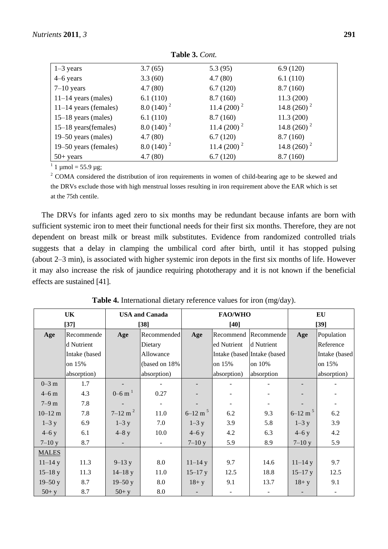| $1-3$ years             | 3.7(65)      | 5.3(95)         | 6.9(120)       |
|-------------------------|--------------|-----------------|----------------|
| 4–6 years               | 3.3(60)      | 4.7(80)         | 6.1(110)       |
| $7-10$ years            | 4.7(80)      | 6.7(120)        | 8.7(160)       |
| $11-14$ years (males)   | 6.1(110)     | 8.7(160)        | 11.3(200)      |
| $11-14$ years (females) | $8.0(140)^2$ | 11.4 $(200)^2$  | 14.8 $(260)^2$ |
| $15-18$ years (males)   | 6.1(110)     | 8.7(160)        | 11.3(200)      |
| 15–18 years (females)   | $8.0(140)^2$ | 11.4 $(200)^2$  | 14.8 $(260)^2$ |
| 19–50 years (males)     | 4.7(80)      | 6.7(120)        | 8.7(160)       |
| 19–50 years (females)   | $8.0(140)^2$ | $11.4(200)^{2}$ | 14.8 $(260)^2$ |
| $50+$ years             | 4.7(80)      | 6.7(120)        | 8.7(160)       |

**Table 3.** *Cont.*

<sup>1</sup> 1  $\mu$ mol = 55.9  $\mu$ g;

<sup>2</sup> COMA considered the distribution of iron requirements in women of child-bearing age to be skewed and the DRVs exclude those with high menstrual losses resulting in iron requirement above the EAR which is set at the 75th centile.

The DRVs for infants aged zero to six months may be redundant because infants are born with sufficient systemic iron to meet their functional needs for their first six months. Therefore, they are not dependent on breast milk or breast milk substitutes. Evidence from randomized controlled trials suggests that a delay in clamping the umbilical cord after birth, until it has stopped pulsing (about 2–3 min), is associated with higher systemic iron depots in the first six months of life. However it may also increase the risk of jaundice requiring phototherapy and it is not known if the beneficial effects are sustained [41].

| UK           |               |                         | <b>USA and Canada</b> |                         | <b>FAO/WHO</b> | EU                          |                         |               |  |
|--------------|---------------|-------------------------|-----------------------|-------------------------|----------------|-----------------------------|-------------------------|---------------|--|
|              | $[37]$        |                         | $[38]$                |                         | $[40]$         |                             | $[39]$                  |               |  |
| Age          | Recommende    | Age                     | Recommended           | Age                     |                | Recommend Recommende        | Age                     | Population    |  |
|              | d Nutrient    |                         | Dietary               |                         | ed Nutrient    | d Nutrient                  |                         | Reference     |  |
|              | Intake (based |                         | Allowance             |                         |                | Intake (based Intake (based |                         | Intake (based |  |
|              | on 15%        |                         | (based on 18%)        |                         | on 15%         | on 10%                      |                         | on 15%        |  |
|              | absorption)   |                         | absorption)           |                         | absorption)    | absorption                  |                         | absorption)   |  |
| $0 - 3$ m    | 1.7           |                         |                       |                         |                |                             |                         |               |  |
| $4-6$ m      | 4.3           | $0 - 6$ m <sup>1</sup>  | 0.27                  |                         |                |                             |                         |               |  |
| $7-9$ m      | 7.8           |                         |                       |                         |                |                             |                         |               |  |
| $10 - 12$ m  | 7.8           | $7 - 12$ m <sup>2</sup> | 11.0                  | $6 - 12$ m <sup>5</sup> | 6.2            | 9.3                         | $6 - 12$ m <sup>5</sup> | 6.2           |  |
| $1-3y$       | 6.9           | $1-3y$                  | 7.0                   | $1-3y$                  | 3.9            | 5.8                         | $1-3y$                  | 3.9           |  |
| $4-6y$       | 6.1           | $4 - 8y$                | 10.0                  | $4-6y$                  | 4.2            | 6.3                         | $4-6y$                  | 4.2           |  |
| $7 - 10y$    | 8.7           |                         | $\sim$                | $7 - 10y$               | 5.9            | 8.9                         | $7-10y$                 | 5.9           |  |
| <b>MALES</b> |               |                         |                       |                         |                |                             |                         |               |  |
| $11 - 14y$   | 11.3          | $9 - 13y$               | 8.0                   | $11 - 14y$              | 9.7            | 14.6                        | $11 - 14y$              | 9.7           |  |
| $15 - 18y$   | 11.3          | $14 - 18y$              | 11.0                  | $15 - 17$ y             | 12.5           | 18.8                        | $15 - 17y$              | 12.5          |  |
| $19 - 50y$   | 8.7           | $19 - 50y$              | 8.0                   | $18 + y$                | 9.1            | 13.7                        | $18 + y$                | 9.1           |  |
| $50+$ y      | 8.7           | $50+ y$                 | 8.0                   |                         |                |                             |                         |               |  |

**Table 4.** International dietary reference values for iron (mg/day).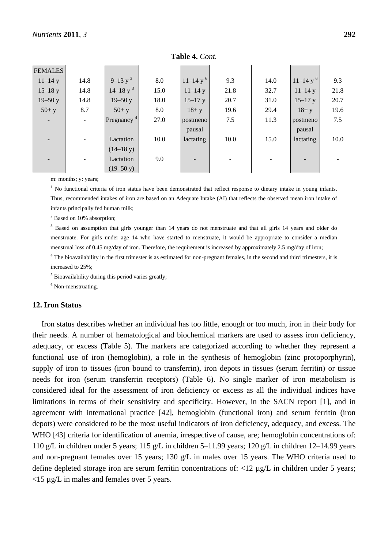| <b>FEMALES</b> |        |                        |      |              |      |      |              |      |
|----------------|--------|------------------------|------|--------------|------|------|--------------|------|
| $11 - 14y$     | 14.8   | $9-13 y^3$             | 8.0  | $11-14y^{6}$ | 9.3  | 14.0 | $11-14y^{6}$ | 9.3  |
| $15 - 18y$     | 14.8   | $14-18$ y <sup>3</sup> | 15.0 | $11 - 14y$   | 21.8 | 32.7 | $11 - 14y$   | 21.8 |
| $19 - 50y$     | 14.8   | $19 - 50y$             | 18.0 | $15 - 17y$   | 20.7 | 31.0 | $15 - 17$ y  | 20.7 |
| $50+ y$        | 8.7    | $50+ y$                | 8.0  | $18 + y$     | 19.6 | 29.4 | $18 + y$     | 19.6 |
|                | $\sim$ | Pregnancy <sup>4</sup> | 27.0 | postmeno     | 7.5  | 11.3 | postmeno     | 7.5  |
|                |        |                        |      | pausal       |      |      | pausal       |      |
|                |        | Lactation              | 10.0 | lactating    | 10.0 | 15.0 | lactating    | 10.0 |
|                |        | $(14-18 y)$            |      |              |      |      |              |      |
|                |        | Lactation              | 9.0  |              |      |      |              |      |
|                |        | $(19-50 \text{ y})$    |      |              |      |      |              |      |

**Table 4.** *Cont.*

m: months; y: years;

<sup>1</sup> No functional criteria of iron status have been demonstrated that reflect response to dietary intake in young infants. Thus, recommended intakes of iron are based on an Adequate Intake (AI) that reflects the observed mean iron intake of infants principally fed human milk;

<sup>2</sup> Based on 10% absorption;

<sup>3</sup> Based on assumption that girls younger than 14 years do not menstruate and that all girls 14 years and older do menstruate. For girls under age 14 who have started to menstruate, it would be appropriate to consider a median menstrual loss of 0.45 mg/day of iron. Therefore, the requirement is increased by approximately 2.5 mg/day of iron;

<sup>4</sup> The bioavailability in the first trimester is as estimated for non-pregnant females, in the second and third trimesters, it is increased to 25%;

 $<sup>5</sup>$  Bioavailability during this period varies greatly:</sup>

 $6$  Non-menstruating.

#### **12. Iron Status**

Iron status describes whether an individual has too little, enough or too much, iron in their body for their needs. A number of hematological and biochemical markers are used to assess iron deficiency, adequacy, or excess (Table 5). The markers are categorized according to whether they represent a functional use of iron (hemoglobin), a role in the synthesis of hemoglobin (zinc protoporphyrin), supply of iron to tissues (iron bound to transferrin), iron depots in tissues (serum ferritin) or tissue needs for iron (serum transferrin receptors) (Table 6). No single marker of iron metabolism is considered ideal for the assessment of iron deficiency or excess as all the individual indices have limitations in terms of their sensitivity and specificity. However, in the SACN report [1], and in agreement with international practice [42], hemoglobin (functional iron) and serum ferritin (iron depots) were considered to be the most useful indicators of iron deficiency, adequacy, and excess. The WHO [43] criteria for identification of anemia, irrespective of cause, are; hemoglobin concentrations of: 110 g/L in children under 5 years; 115 g/L in children 5–11.99 years; 120 g/L in children 12–14.99 years and non-pregnant females over 15 years; 130 g/L in males over 15 years. The WHO criteria used to define depleted storage iron are serum ferritin concentrations of:  $\langle 12 \mu g/L \rangle$  in children under 5 years; <15 µg/L in males and females over 5 years.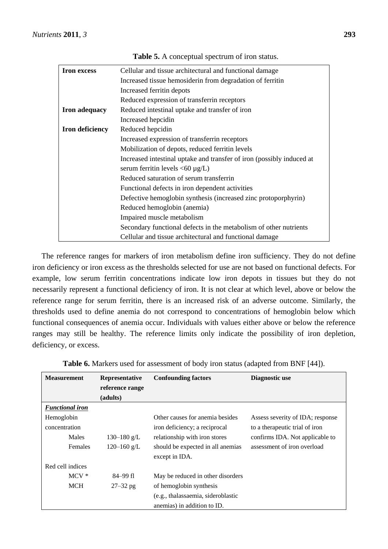| <b>Iron</b> excess     | Cellular and tissue architectural and functional damage               |  |  |  |  |  |  |
|------------------------|-----------------------------------------------------------------------|--|--|--|--|--|--|
|                        | Increased tissue hemosider in from degradation of ferritin            |  |  |  |  |  |  |
|                        | Increased ferritin depots                                             |  |  |  |  |  |  |
|                        | Reduced expression of transferrin receptors                           |  |  |  |  |  |  |
| <b>Iron adequacy</b>   | Reduced intestinal uptake and transfer of iron                        |  |  |  |  |  |  |
|                        | Increased hepcidin                                                    |  |  |  |  |  |  |
| <b>Iron deficiency</b> | Reduced hepcidin                                                      |  |  |  |  |  |  |
|                        | Increased expression of transferrin receptors                         |  |  |  |  |  |  |
|                        | Mobilization of depots, reduced ferritin levels                       |  |  |  |  |  |  |
|                        | Increased intestinal uptake and transfer of iron (possibly induced at |  |  |  |  |  |  |
|                        | serum ferritin levels $\langle 60 \mu g/L \rangle$                    |  |  |  |  |  |  |
|                        | Reduced saturation of serum transferrin                               |  |  |  |  |  |  |
|                        | Functional defects in iron dependent activities                       |  |  |  |  |  |  |
|                        | Defective hemoglobin synthesis (increased zinc protoporphyrin)        |  |  |  |  |  |  |
|                        | Reduced hemoglobin (anemia)                                           |  |  |  |  |  |  |
|                        | Impaired muscle metabolism                                            |  |  |  |  |  |  |
|                        | Secondary functional defects in the metabolism of other nutrients     |  |  |  |  |  |  |
|                        | Cellular and tissue architectural and functional damage               |  |  |  |  |  |  |

**Table 5.** A conceptual spectrum of iron status.

The reference ranges for markers of iron metabolism define iron sufficiency. They do not define iron deficiency or iron excess as the thresholds selected for use are not based on functional defects. For example, low serum ferritin concentrations indicate low iron depots in tissues but they do not necessarily represent a functional deficiency of iron. It is not clear at which level, above or below the reference range for serum ferritin, there is an increased risk of an adverse outcome. Similarly, the thresholds used to define anemia do not correspond to concentrations of hemoglobin below which functional consequences of anemia occur. Individuals with values either above or below the reference ranges may still be healthy. The reference limits only indicate the possibility of iron depletion, deficiency, or excess.

| <b>Table 6.</b> Markers used for assessment of body iron status (adapted from BNF [44]). |  |
|------------------------------------------------------------------------------------------|--|
|                                                                                          |  |

| <b>Measurement</b>     | Representative  | <b>Confounding factors</b>         | Diagnostic use                   |
|------------------------|-----------------|------------------------------------|----------------------------------|
|                        | reference range |                                    |                                  |
|                        | (adults)        |                                    |                                  |
| <b>Functional iron</b> |                 |                                    |                                  |
| Hemoglobin             |                 | Other causes for anemia besides    | Assess severity of IDA; response |
| concentration          |                 | iron deficiency; a reciprocal      | to a therapeutic trial of iron   |
| Males                  | 130–180 g/L     | relationship with iron stores      | confirms IDA. Not applicable to  |
| <b>Females</b>         | 120 $-160$ g/L  | should be expected in all anemias  | assessment of iron overload      |
|                        |                 | except in IDA.                     |                                  |
| Red cell indices       |                 |                                    |                                  |
| $MCV^*$                | 84–99 fl        | May be reduced in other disorders  |                                  |
| <b>MCH</b>             | $27 - 32$ pg    | of hemoglobin synthesis            |                                  |
|                        |                 | (e.g., thalassaemia, sideroblastic |                                  |
|                        |                 | anemias) in addition to ID.        |                                  |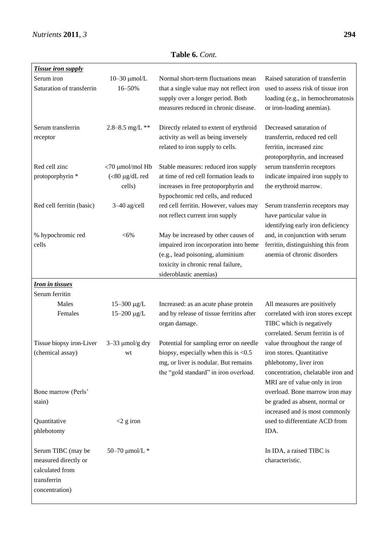| <b>Tissue iron supply</b> |                         |                                          |                                    |
|---------------------------|-------------------------|------------------------------------------|------------------------------------|
| Serum iron                | $10-30$ $\mu$ mol/L     | Normal short-term fluctuations mean      | Raised saturation of transferrin   |
| Saturation of transferrin | 16-50%                  | that a single value may not reflect iron | used to assess risk of tissue iron |
|                           |                         | supply over a longer period. Both        | loading (e.g., in hemochromatosis  |
|                           |                         | measures reduced in chronic disease.     | or iron-loading anemias).          |
|                           |                         |                                          |                                    |
| Serum transferrin         | 2.8-8.5 mg/L **         | Directly related to extent of erythroid  | Decreased saturation of            |
| receptor                  |                         | activity as well as being inversely      | transferrin, reduced red cell      |
|                           |                         | related to iron supply to cells.         | ferritin, increased zinc           |
|                           |                         |                                          | protoporphyrin, and increased      |
| Red cell zinc             | $<$ 70 $\mu$ mol/mol Hb | Stable measures: reduced iron supply     | serum transferrin receptors        |
| protoporphyrin *          | $(<80 \mu g/dL$ red     | at time of red cell formation leads to   | indicate impaired iron supply to   |
|                           | cells)                  | increases in free protoporphyrin and     | the erythroid marrow.              |
|                           |                         |                                          |                                    |
|                           |                         | hypochromic red cells, and reduced       |                                    |
| Red cell ferritin (basic) | 3-40 ag/cell            | red cell ferritin. However, values may   | Serum transferrin receptors may    |
|                           |                         | not reflect current iron supply          | have particular value in           |
|                           |                         |                                          | identifying early iron deficiency  |
| % hypochromic red         | $<$ 6%                  | May be increased by other causes of      | and, in conjunction with serum     |
| cells                     |                         | impaired iron incorporation into heme    | ferritin, distinguishing this from |
|                           |                         | (e.g., lead poisoning, aluminium         | anemia of chronic disorders        |
|                           |                         | toxicity in chronic renal failure,       |                                    |
|                           |                         | sideroblastic anemias)                   |                                    |
| <u>Iron in tissues</u>    |                         |                                          |                                    |
| Serum ferritin            |                         |                                          |                                    |
| Males                     | $15 - 300 \mu g/L$      | Increased: as an acute phase protein     | All measures are positively        |
| Females                   | 15-200 µg/L             | and by release of tissue ferritins after | correlated with iron stores except |
|                           |                         | organ damage.                            | TIBC which is negatively           |
|                           |                         |                                          | correlated. Serum ferritin is of   |
| Tissue biopsy iron-Liver  | $3-33 \mu$ mol/g dry    | Potential for sampling error on needle   | value throughout the range of      |
| (chemical assay)          | wt                      | biopsy, especially when this is $< 0.5$  | iron stores. Quantitative          |
|                           |                         | mg, or liver is nodular. But remains     | phlebotomy, liver iron             |
|                           |                         | the "gold standard" in iron overload.    | concentration, chelatable iron and |
|                           |                         |                                          | MRI are of value only in iron      |
| Bone marrow (Perls'       |                         |                                          | overload. Bone marrow iron may     |
| stain)                    |                         |                                          | be graded as absent, normal or     |
|                           |                         |                                          | increased and is most commonly     |
| Quantitative              | $<$ 2 g iron            |                                          | used to differentiate ACD from     |
| phlebotomy                |                         |                                          | IDA.                               |
|                           |                         |                                          |                                    |
| Serum TIBC (may be        | 50-70 $\mu$ mol/L *     |                                          | In IDA, a raised TIBC is           |
| measured directly or      |                         |                                          | characteristic.                    |
| calculated from           |                         |                                          |                                    |
| transferrin               |                         |                                          |                                    |
| concentration)            |                         |                                          |                                    |
|                           |                         |                                          |                                    |

**Table 6.** *Cont.*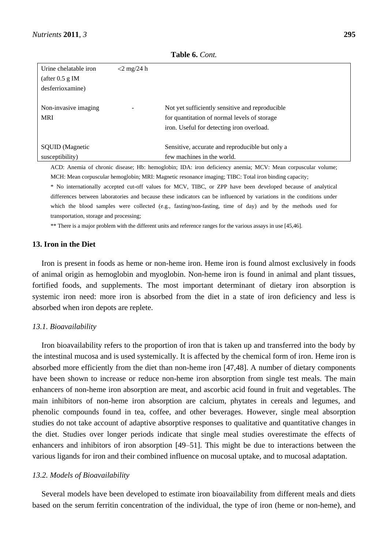| Urine chelatable iron<br>(after $0.5$ g IM<br>desferrioxamine) | $<$ 2 mg/24 h |                                                                                                                                              |
|----------------------------------------------------------------|---------------|----------------------------------------------------------------------------------------------------------------------------------------------|
| Non-invasive imaging<br><b>MRI</b>                             |               | Not yet sufficiently sensitive and reproducible<br>for quantitation of normal levels of storage<br>iron. Useful for detecting iron overload. |
| <b>SQUID</b> (Magnetic<br>susceptibility)                      |               | Sensitive, accurate and reproducible but only a<br>few machines in the world.                                                                |

**Table 6.** *Cont.*

ACD: Anemia of chronic disease; Hb: hemoglobin; IDA: iron deficiency anemia; MCV: Mean corpuscular volume; MCH: Mean corpuscular hemoglobin; MRI: Magnetic resonance imaging; TIBC: Total iron binding capacity;

\* No internationally accepted cut-off values for MCV, TIBC, or ZPP have been developed because of analytical differences between laboratories and because these indicators can be influenced by variations in the conditions under which the blood samples were collected (e.g., fasting/non-fasting, time of day) and by the methods used for transportation, storage and processing;

\*\* There is a major problem with the different units and reference ranges for the various assays in use [45,46].

#### **13. Iron in the Diet**

Iron is present in foods as heme or non-heme iron. Heme iron is found almost exclusively in foods of animal origin as hemoglobin and myoglobin. Non-heme iron is found in animal and plant tissues, fortified foods, and supplements. The most important determinant of dietary iron absorption is systemic iron need: more iron is absorbed from the diet in a state of iron deficiency and less is absorbed when iron depots are replete.

#### *13.1. Bioavailability*

Iron bioavailability refers to the proportion of iron that is taken up and transferred into the body by the intestinal mucosa and is used systemically. It is affected by the chemical form of iron. Heme iron is absorbed more efficiently from the diet than non-heme iron [47,48]. A number of dietary components have been shown to increase or reduce non-heme iron absorption from single test meals. The main enhancers of non-heme iron absorption are meat, and ascorbic acid found in fruit and vegetables. The main inhibitors of non-heme iron absorption are calcium, phytates in cereals and legumes, and phenolic compounds found in tea, coffee, and other beverages. However, single meal absorption studies do not take account of adaptive absorptive responses to qualitative and quantitative changes in the diet. Studies over longer periods indicate that single meal studies overestimate the effects of enhancers and inhibitors of iron absorption [49–51]. This might be due to interactions between the various ligands for iron and their combined influence on mucosal uptake, and to mucosal adaptation.

#### *13.2. Models of Bioavailability*

Several models have been developed to estimate iron bioavailability from different meals and diets based on the serum ferritin concentration of the individual, the type of iron (heme or non-heme), and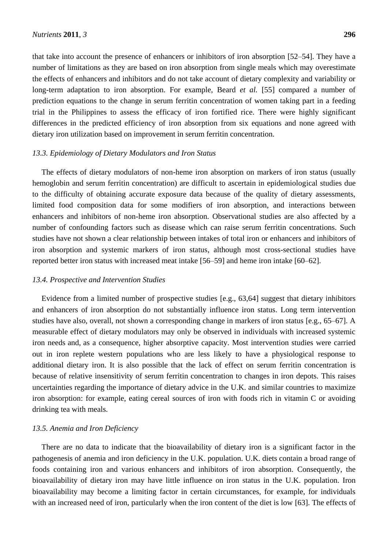that take into account the presence of enhancers or inhibitors of iron absorption [52–54]. They have a number of limitations as they are based on iron absorption from single meals which may overestimate the effects of enhancers and inhibitors and do not take account of dietary complexity and variability or long-term adaptation to iron absorption. For example, Beard *et al.* [55] compared a number of prediction equations to the change in serum ferritin concentration of women taking part in a feeding trial in the Philippines to assess the efficacy of iron fortified rice. There were highly significant differences in the predicted efficiency of iron absorption from six equations and none agreed with dietary iron utilization based on improvement in serum ferritin concentration.

#### *13.3. Epidemiology of Dietary Modulators and Iron Status*

The effects of dietary modulators of non-heme iron absorption on markers of iron status (usually hemoglobin and serum ferritin concentration) are difficult to ascertain in epidemiological studies due to the difficulty of obtaining accurate exposure data because of the quality of dietary assessments, limited food composition data for some modifiers of iron absorption, and interactions between enhancers and inhibitors of non-heme iron absorption. Observational studies are also affected by a number of confounding factors such as disease which can raise serum ferritin concentrations. Such studies have not shown a clear relationship between intakes of total iron or enhancers and inhibitors of iron absorption and systemic markers of iron status, although most cross-sectional studies have reported better iron status with increased meat intake [56–59] and heme iron intake [60–62].

#### *13.4. Prospective and Intervention Studies*

Evidence from a limited number of prospective studies [e.g., 63,64] suggest that dietary inhibitors and enhancers of iron absorption do not substantially influence iron status. Long term intervention studies have also, overall, not shown a corresponding change in markers of iron status [e.g., 65–67]. A measurable effect of dietary modulators may only be observed in individuals with increased systemic iron needs and, as a consequence, higher absorptive capacity. Most intervention studies were carried out in iron replete western populations who are less likely to have a physiological response to additional dietary iron. It is also possible that the lack of effect on serum ferritin concentration is because of relative insensitivity of serum ferritin concentration to changes in iron depots. This raises uncertainties regarding the importance of dietary advice in the U.K. and similar countries to maximize iron absorption: for example, eating cereal sources of iron with foods rich in vitamin C or avoiding drinking tea with meals.

#### *13.5. Anemia and Iron Deficiency*

There are no data to indicate that the bioavailability of dietary iron is a significant factor in the pathogenesis of anemia and iron deficiency in the U.K. population. U.K. diets contain a broad range of foods containing iron and various enhancers and inhibitors of iron absorption. Consequently, the bioavailability of dietary iron may have little influence on iron status in the U.K. population. Iron bioavailability may become a limiting factor in certain circumstances, for example, for individuals with an increased need of iron, particularly when the iron content of the diet is low [63]. The effects of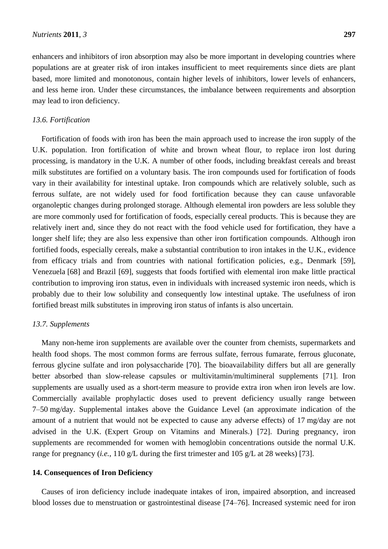enhancers and inhibitors of iron absorption may also be more important in developing countries where populations are at greater risk of iron intakes insufficient to meet requirements since diets are plant based, more limited and monotonous, contain higher levels of inhibitors, lower levels of enhancers, and less heme iron. Under these circumstances, the imbalance between requirements and absorption may lead to iron deficiency.

#### *13.6. Fortification*

Fortification of foods with iron has been the main approach used to increase the iron supply of the U.K. population. Iron fortification of white and brown wheat flour, to replace iron lost during processing, is mandatory in the U.K. A number of other foods, including breakfast cereals and breast milk substitutes are fortified on a voluntary basis. The iron compounds used for fortification of foods vary in their availability for intestinal uptake. Iron compounds which are relatively soluble, such as ferrous sulfate, are not widely used for food fortification because they can cause unfavorable organoleptic changes during prolonged storage. Although elemental iron powders are less soluble they are more commonly used for fortification of foods, especially cereal products. This is because they are relatively inert and, since they do not react with the food vehicle used for fortification, they have a longer shelf life; they are also less expensive than other iron fortification compounds. Although iron fortified foods, especially cereals, make a substantial contribution to iron intakes in the U.K., evidence from efficacy trials and from countries with national fortification policies, e.g., Denmark [59], Venezuela [68] and Brazil [69], suggests that foods fortified with elemental iron make little practical contribution to improving iron status, even in individuals with increased systemic iron needs, which is probably due to their low solubility and consequently low intestinal uptake. The usefulness of iron fortified breast milk substitutes in improving iron status of infants is also uncertain.

#### *13.7. Supplements*

Many non-heme iron supplements are available over the counter from chemists, supermarkets and health food shops. The most common forms are ferrous sulfate, ferrous fumarate, ferrous gluconate, ferrous glycine sulfate and iron polysaccharide [70]. The bioavailability differs but all are generally better absorbed than slow-release capsules or multivitamin/multimineral supplements [71]. Iron supplements are usually used as a short-term measure to provide extra iron when iron levels are low. Commercially available prophylactic doses used to prevent deficiency usually range between 7–50 mg/day. Supplemental intakes above the Guidance Level (an approximate indication of the amount of a nutrient that would not be expected to cause any adverse effects) of 17 mg/day are not advised in the U.K. (Expert Group on Vitamins and Minerals.) [72]. During pregnancy, iron supplements are recommended for women with hemoglobin concentrations outside the normal U.K. range for pregnancy (*i.e.*, 110 g/L during the first trimester and 105 g/L at 28 weeks) [73].

#### **14. Consequences of Iron Deficiency**

Causes of iron deficiency include inadequate intakes of iron, impaired absorption, and increased blood losses due to menstruation or gastrointestinal disease [74–76]. Increased systemic need for iron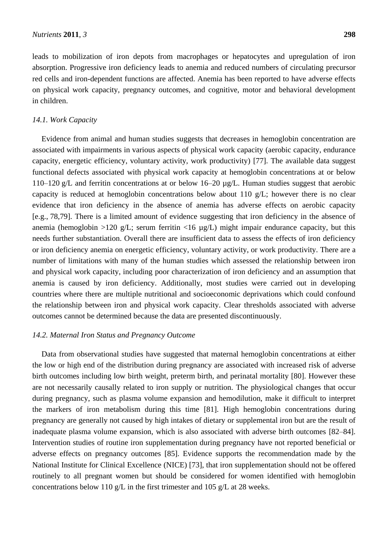leads to mobilization of iron depots from macrophages or hepatocytes and upregulation of iron absorption. Progressive iron deficiency leads to anemia and reduced numbers of circulating precursor red cells and iron-dependent functions are affected. Anemia has been reported to have adverse effects on physical work capacity, pregnancy outcomes, and cognitive, motor and behavioral development in children.

#### *14.1. Work Capacity*

Evidence from animal and human studies suggests that decreases in hemoglobin concentration are associated with impairments in various aspects of physical work capacity (aerobic capacity, endurance capacity, energetic efficiency, voluntary activity, work productivity) [77]. The available data suggest functional defects associated with physical work capacity at hemoglobin concentrations at or below 110–120 g/L and ferritin concentrations at or below 16–20 µg/L. Human studies suggest that aerobic capacity is reduced at hemoglobin concentrations below about 110 g/L; however there is no clear evidence that iron deficiency in the absence of anemia has adverse effects on aerobic capacity [e.g., 78,79]. There is a limited amount of evidence suggesting that iron deficiency in the absence of anemia (hemoglobin >120 g/L; serum ferritin <16  $\mu$ g/L) might impair endurance capacity, but this needs further substantiation. Overall there are insufficient data to assess the effects of iron deficiency or iron deficiency anemia on energetic efficiency, voluntary activity, or work productivity. There are a number of limitations with many of the human studies which assessed the relationship between iron and physical work capacity, including poor characterization of iron deficiency and an assumption that anemia is caused by iron deficiency. Additionally, most studies were carried out in developing countries where there are multiple nutritional and socioeconomic deprivations which could confound the relationship between iron and physical work capacity. Clear thresholds associated with adverse outcomes cannot be determined because the data are presented discontinuously.

#### *14.2. Maternal Iron Status and Pregnancy Outcome*

Data from observational studies have suggested that maternal hemoglobin concentrations at either the low or high end of the distribution during pregnancy are associated with increased risk of adverse birth outcomes including low birth weight, preterm birth, and perinatal mortality [80]. However these are not necessarily causally related to iron supply or nutrition. The physiological changes that occur during pregnancy, such as plasma volume expansion and hemodilution, make it difficult to interpret the markers of iron metabolism during this time [81]. High hemoglobin concentrations during pregnancy are generally not caused by high intakes of dietary or supplemental iron but are the result of inadequate plasma volume expansion, which is also associated with adverse birth outcomes [82–84]. Intervention studies of routine iron supplementation during pregnancy have not reported beneficial or adverse effects on pregnancy outcomes [85]. Evidence supports the recommendation made by the National Institute for Clinical Excellence (NICE) [73], that iron supplementation should not be offered routinely to all pregnant women but should be considered for women identified with hemoglobin concentrations below 110 g/L in the first trimester and 105 g/L at 28 weeks.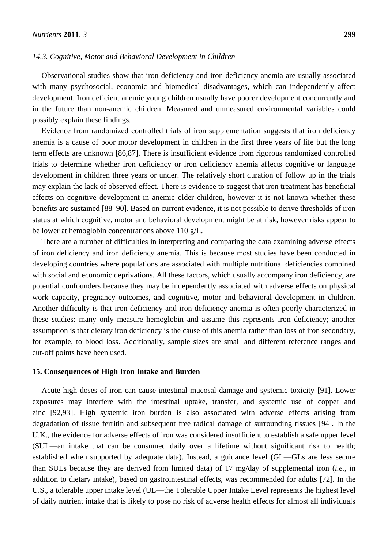#### *14.3. Cognitive, Motor and Behavioral Development in Children*

Observational studies show that iron deficiency and iron deficiency anemia are usually associated with many psychosocial, economic and biomedical disadvantages, which can independently affect development. Iron deficient anemic young children usually have poorer development concurrently and in the future than non-anemic children. Measured and unmeasured environmental variables could possibly explain these findings.

Evidence from randomized controlled trials of iron supplementation suggests that iron deficiency anemia is a cause of poor motor development in children in the first three years of life but the long term effects are unknown [86,87]. There is insufficient evidence from rigorous randomized controlled trials to determine whether iron deficiency or iron deficiency anemia affects cognitive or language development in children three years or under. The relatively short duration of follow up in the trials may explain the lack of observed effect. There is evidence to suggest that iron treatment has beneficial effects on cognitive development in anemic older children, however it is not known whether these benefits are sustained [88–90]. Based on current evidence, it is not possible to derive thresholds of iron status at which cognitive, motor and behavioral development might be at risk, however risks appear to be lower at hemoglobin concentrations above 110 g/L.

There are a number of difficulties in interpreting and comparing the data examining adverse effects of iron deficiency and iron deficiency anemia. This is because most studies have been conducted in developing countries where populations are associated with multiple nutritional deficiencies combined with social and economic deprivations. All these factors, which usually accompany iron deficiency, are potential confounders because they may be independently associated with adverse effects on physical work capacity, pregnancy outcomes, and cognitive, motor and behavioral development in children. Another difficulty is that iron deficiency and iron deficiency anemia is often poorly characterized in these studies: many only measure hemoglobin and assume this represents iron deficiency; another assumption is that dietary iron deficiency is the cause of this anemia rather than loss of iron secondary, for example, to blood loss. Additionally, sample sizes are small and different reference ranges and cut-off points have been used.

#### **15. Consequences of High Iron Intake and Burden**

Acute high doses of iron can cause intestinal mucosal damage and systemic toxicity [91]. Lower exposures may interfere with the intestinal uptake, transfer, and systemic use of copper and zinc [92,93]. High systemic iron burden is also associated with adverse effects arising from degradation of tissue ferritin and subsequent free radical damage of surrounding tissues [94]. In the U.K., the evidence for adverse effects of iron was considered insufficient to establish a safe upper level (SUL—an intake that can be consumed daily over a lifetime without significant risk to health; established when supported by adequate data). Instead, a guidance level (GL—GLs are less secure than SULs because they are derived from limited data) of 17 mg/day of supplemental iron (*i.e.*, in addition to dietary intake), based on gastrointestinal effects, was recommended for adults [72]. In the U.S., a tolerable upper intake level (UL—the Tolerable Upper Intake Level represents the highest level of daily nutrient intake that is likely to pose no risk of adverse health effects for almost all individuals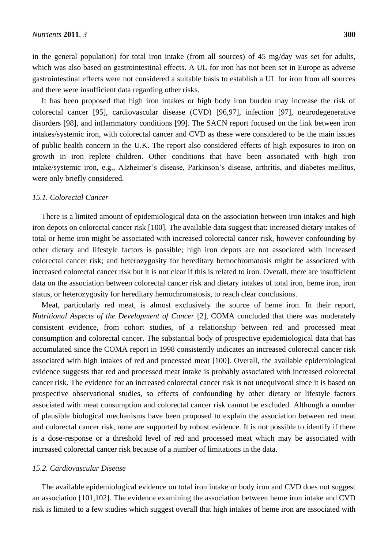in the general population) for total iron intake (from all sources) of 45 mg/day was set for adults, which was also based on gastrointestinal effects. A UL for iron has not been set in Europe as adverse gastrointestinal effects were not considered a suitable basis to establish a UL for iron from all sources and there were insufficient data regarding other risks.

It has been proposed that high iron intakes or high body iron burden may increase the risk of colorectal cancer [95], cardiovascular disease (CVD) [96,97], infection [97], neurodegenerative disorders [98], and inflammatory conditions [99]. The SACN report focused on the link between iron intakes/systemic iron, with colorectal cancer and CVD as these were considered to be the main issues of public health concern in the U.K. The report also considered effects of high exposures to iron on growth in iron replete children. Other conditions that have been associated with high iron intake/systemic iron, e.g., Alzheimer's disease, Parkinson's disease, arthritis, and diabetes mellitus, were only briefly considered.

#### *15.1. Colorectal Cancer*

There is a limited amount of epidemiological data on the association between iron intakes and high iron depots on colorectal cancer risk [100]. The available data suggest that: increased dietary intakes of total or heme iron might be associated with increased colorectal cancer risk, however confounding by other dietary and lifestyle factors is possible; high iron depots are not associated with increased colorectal cancer risk; and heterozygosity for hereditary hemochromatosis might be associated with increased colorectal cancer risk but it is not clear if this is related to iron. Overall, there are insufficient data on the association between colorectal cancer risk and dietary intakes of total iron, heme iron, iron status, or heterozygosity for hereditary hemochromatosis, to reach clear conclusions.

Meat, particularly red meat, is almost exclusively the source of heme iron. In their report, *Nutritional Aspects of the Development of Cancer* [2], COMA concluded that there was moderately consistent evidence, from cohort studies, of a relationship between red and processed meat consumption and colorectal cancer. The substantial body of prospective epidemiological data that has accumulated since the COMA report in 1998 consistently indicates an increased colorectal cancer risk associated with high intakes of red and processed meat [100]. Overall, the available epidemiological evidence suggests that red and processed meat intake is probably associated with increased colorectal cancer risk. The evidence for an increased colorectal cancer risk is not unequivocal since it is based on prospective observational studies, so effects of confounding by other dietary or lifestyle factors associated with meat consumption and colorectal cancer risk cannot be excluded. Although a number of plausible biological mechanisms have been proposed to explain the association between red meat and colorectal cancer risk, none are supported by robust evidence. It is not possible to identify if there is a dose-response or a threshold level of red and processed meat which may be associated with increased colorectal cancer risk because of a number of limitations in the data.

#### *15.2. Cardiovascular Disease*

The available epidemiological evidence on total iron intake or body iron and CVD does not suggest an association [101,102]. The evidence examining the association between heme iron intake and CVD risk is limited to a few studies which suggest overall that high intakes of heme iron are associated with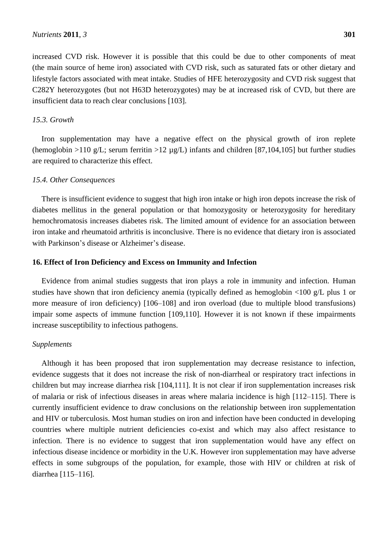increased CVD risk. However it is possible that this could be due to other components of meat (the main source of heme iron) associated with CVD risk, such as saturated fats or other dietary and lifestyle factors associated with meat intake. Studies of HFE heterozygosity and CVD risk suggest that C282Y heterozygotes (but not H63D heterozygotes) may be at increased risk of CVD, but there are insufficient data to reach clear conclusions [103].

## *15.3. Growth*

Iron supplementation may have a negative effect on the physical growth of iron replete (hemoglobin >110 g/L; serum ferritin >12  $\mu$ g/L) infants and children [87,104,105] but further studies are required to characterize this effect.

#### *15.4. Other Consequences*

There is insufficient evidence to suggest that high iron intake or high iron depots increase the risk of diabetes mellitus in the general population or that homozygosity or heterozygosity for hereditary hemochromatosis increases diabetes risk. The limited amount of evidence for an association between iron intake and rheumatoid arthritis is inconclusive. There is no evidence that dietary iron is associated with Parkinson's disease or Alzheimer's disease.

#### **16. Effect of Iron Deficiency and Excess on Immunity and Infection**

Evidence from animal studies suggests that iron plays a role in immunity and infection. Human studies have shown that iron deficiency anemia (typically defined as hemoglobin <100 g/L plus 1 or more measure of iron deficiency) [106–108] and iron overload (due to multiple blood transfusions) impair some aspects of immune function [109,110]. However it is not known if these impairments increase susceptibility to infectious pathogens.

## *Supplements*

Although it has been proposed that iron supplementation may decrease resistance to infection, evidence suggests that it does not increase the risk of non-diarrheal or respiratory tract infections in children but may increase diarrhea risk [104,111]. It is not clear if iron supplementation increases risk of malaria or risk of infectious diseases in areas where malaria incidence is high [112–115]. There is currently insufficient evidence to draw conclusions on the relationship between iron supplementation and HIV or tuberculosis. Most human studies on iron and infection have been conducted in developing countries where multiple nutrient deficiencies co-exist and which may also affect resistance to infection. There is no evidence to suggest that iron supplementation would have any effect on infectious disease incidence or morbidity in the U.K. However iron supplementation may have adverse effects in some subgroups of the population, for example, those with HIV or children at risk of diarrhea [115–116].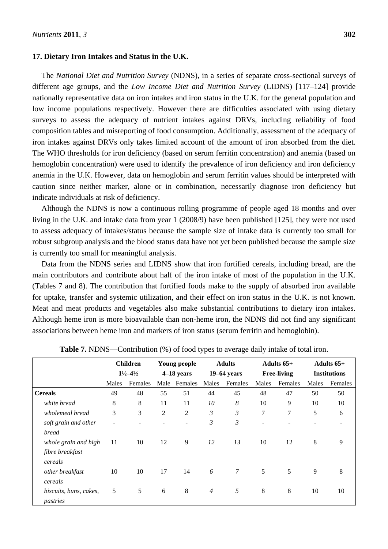#### **17. Dietary Iron Intakes and Status in the U.K.**

The *National Diet and Nutrition Survey* (NDNS), in a series of separate cross-sectional surveys of different age groups, and the *Low Income Diet and Nutrition Survey* (LIDNS) [117–124] provide nationally representative data on iron intakes and iron status in the U.K. for the general population and low income populations respectively. However there are difficulties associated with using dietary surveys to assess the adequacy of nutrient intakes against DRVs, including reliability of food composition tables and misreporting of food consumption. Additionally, assessment of the adequacy of iron intakes against DRVs only takes limited account of the amount of iron absorbed from the diet. The WHO thresholds for iron deficiency (based on serum ferritin concentration) and anemia (based on hemoglobin concentration) were used to identify the prevalence of iron deficiency and iron deficiency anemia in the U.K. However, data on hemoglobin and serum ferritin values should be interpreted with caution since neither marker, alone or in combination, necessarily diagnose iron deficiency but indicate individuals at risk of deficiency.

Although the NDNS is now a continuous rolling programme of people aged 18 months and over living in the U.K. and intake data from year 1 (2008/9) have been published [125], they were not used to assess adequacy of intakes/status because the sample size of intake data is currently too small for robust subgroup analysis and the blood status data have not yet been published because the sample size is currently too small for meaningful analysis.

Data from the NDNS series and LIDNS show that iron fortified cereals, including bread, are the main contributors and contribute about half of the iron intake of most of the population in the U.K. (Tables 7 and 8). The contribution that fortified foods make to the supply of absorbed iron available for uptake, transfer and systemic utilization, and their effect on iron status in the U.K. is not known. Meat and meat products and vegetables also make substantial contributions to dietary iron intakes. Although heme iron is more bioavailable than non-heme iron, the NDNS did not find any significant associations between heme iron and markers of iron status (serum ferritin and hemoglobin).

|                                    |       | <b>Children</b>               |                | <b>Young people</b> |                | <b>Adults</b> |                          | Adults $65+$       |                     | Adults $65+$ |
|------------------------------------|-------|-------------------------------|----------------|---------------------|----------------|---------------|--------------------------|--------------------|---------------------|--------------|
|                                    |       | $1\frac{1}{2} - 4\frac{1}{2}$ | $4-18$ years   |                     |                | $19-64$ years |                          | <b>Free-living</b> | <b>Institutions</b> |              |
|                                    | Males | Females                       | Male           | Females             | Males          | Females       | Males                    | Females            | Males               | Females      |
| <b>Cereals</b>                     | 49    | 48                            | 55             | 51                  | 44             | 45            | 48                       | 47                 | 50                  | 50           |
| white bread                        | 8     | 8                             | 11             | 11                  | 10             | 8             | 10                       | 9                  | 10                  | 10           |
| wholemeal bread                    | 3     | 3                             | $\overline{2}$ | $\overline{2}$      | 3              | 3             | 7                        | 7                  | 5                   | 6            |
| soft grain and other               |       |                               |                |                     | 3              | 3             | $\overline{\phantom{a}}$ |                    |                     |              |
| bread                              |       |                               |                |                     |                |               |                          |                    |                     |              |
| whole grain and high               | 11    | 10                            | 12             | 9                   | 12             | 13            | 10                       | 12                 | 8                   | 9            |
| fibre breakfast                    |       |                               |                |                     |                |               |                          |                    |                     |              |
| cereals                            |       |                               |                |                     |                |               |                          |                    |                     |              |
| other breakfast<br>cereals         | 10    | 10                            | 17             | 14                  | 6              | 7             | 5                        | 5                  | 9                   | 8            |
| biscuits, buns, cakes,<br>pastries | 5     | 5                             | 6              | 8                   | $\overline{4}$ | 5             | 8                        | 8                  | 10                  | 10           |

**Table 7.** NDNS—Contribution (%) of food types to average daily intake of total iron.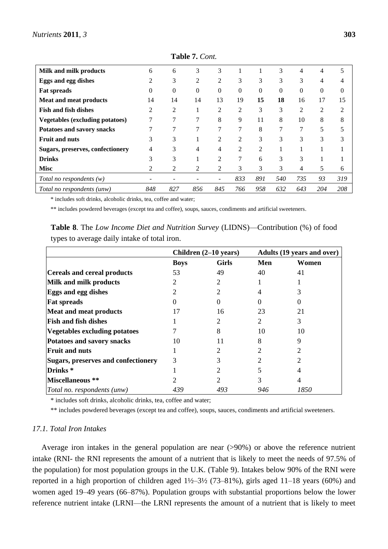| Milk and milk products                 | 6        | 6              | 3   | 3              |     |          | 3        | 4   | 4        | 5              |
|----------------------------------------|----------|----------------|-----|----------------|-----|----------|----------|-----|----------|----------------|
| Eggs and egg dishes                    | 2        | 3              | 2   | $\overline{2}$ | 3   | 3        | 3        | 3   | 4        | 4              |
| <b>Fat spreads</b>                     | $\Omega$ | $\Omega$       | 0   | $\Omega$       | 0   | $\Omega$ | $\Omega$ | 0   | $\theta$ | $\Omega$       |
| <b>Meat and meat products</b>          | 14       | 14             | 14  | 13             | 19  | 15       | 18       | 16  | 17       | 15             |
| <b>Fish and fish dishes</b>            | 2        | $\overline{2}$ |     | $\overline{c}$ | 2   | 3        | 3        | 2   | 2        | $\overline{c}$ |
| <b>Vegetables (excluding potatoes)</b> |          | 7              | 7   | 8              | 9   | 11       | 8        | 10  | 8        | 8              |
| Potatoes and savory snacks             |          | 7              | 7   | 7              | 7   | 8        | 7        | 7   | 5        |                |
| <b>Fruit and nuts</b>                  | 3        | 3              |     | $\overline{c}$ | 2   | 3        | 3        | 3   | 3        | 3              |
| Sugars, preserves, confectionery       | 4        | 3              | 4   | 4              | 2   | 2        |          |     |          |                |
| <b>Drinks</b>                          | 3        | 3              |     | $\overline{c}$ | 7   | 6        | 3        | 3   |          |                |
| <b>Misc</b>                            | 2        | 2              | 2   | 2              | 3   | 3        | 3        | 4   | 5        | 6              |
| Total no respondents $(w)$             |          |                |     | $\blacksquare$ | 833 | 891      | 540      | 735 | 93       | 319            |
| Total no respondents (unw)             | 848      | 827            | 856 | 845            | 766 | 958      | 632      | 643 | 204      | 208            |

**Table 7.** *Cont.*

\* includes soft drinks, alcoholic drinks, tea, coffee and water;

\*\* includes powdered beverages (except tea and coffee), soups, sauces, condiments and artificial sweeteners.

**Table 8**. The *Low Income Diet and Nutrition Survey* (LIDNS)—Contribution (%) of food types to average daily intake of total iron.

|                                     | Children (2-10 years) |              | <b>Adults (19 years and over)</b> |       |  |  |
|-------------------------------------|-----------------------|--------------|-----------------------------------|-------|--|--|
|                                     | <b>Boys</b>           | <b>Girls</b> | Men                               | Women |  |  |
| <b>Cereals and cereal products</b>  | 53                    | 49           | 40                                | 41    |  |  |
| Milk and milk products              | 2                     |              |                                   |       |  |  |
| <b>Eggs and egg dishes</b>          |                       |              |                                   |       |  |  |
| <b>Fat spreads</b>                  |                       |              |                                   |       |  |  |
| <b>Meat and meat products</b>       |                       | 16           | 23                                | 21    |  |  |
| <b>Fish and fish dishes</b>         |                       |              | 2                                 | 3     |  |  |
| Vegetables excluding potatoes       |                       |              | 10                                | 10    |  |  |
| Potatoes and savory snacks          | 10                    | 11           |                                   |       |  |  |
| <b>Fruit and nuts</b>               |                       |              |                                   |       |  |  |
| Sugars, preserves and confectionery | 3                     |              |                                   |       |  |  |
| Drinks <sup>*</sup>                 |                       |              |                                   |       |  |  |
| Miscellaneous **                    |                       |              |                                   |       |  |  |
| Total no. respondents (unw)         | 439                   | 493          | 946                               | 1850  |  |  |

\* includes soft drinks, alcoholic drinks, tea, coffee and water;

\*\* includes powdered beverages (except tea and coffee), soups, sauces, condiments and artificial sweeteners.

#### *17.1. Total Iron Intakes*

Average iron intakes in the general population are near (>90%) or above the reference nutrient intake (RNI- the RNI represents the amount of a nutrient that is likely to meet the needs of 97.5% of the population) for most population groups in the U.K. (Table 9). Intakes below 90% of the RNI were reported in a high proportion of children aged  $1\frac{1}{2}$ –3½ (73–81%), girls aged 11–18 years (60%) and women aged 19–49 years (66–87%). Population groups with substantial proportions below the lower reference nutrient intake (LRNI—the LRNI represents the amount of a nutrient that is likely to meet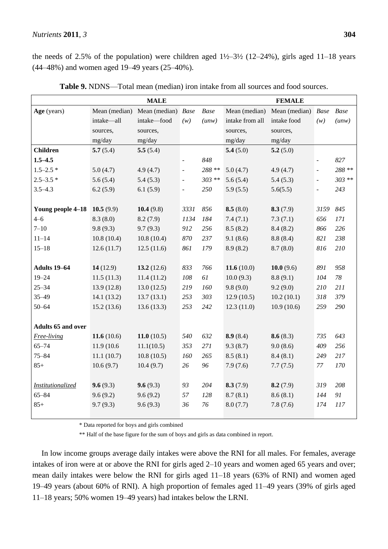### *Nutrients* **2011**, *3* **304**

the needs of 2.5% of the population) were children aged  $1\frac{1}{2}$ –3½ (12–24%), girls aged 11–18 years (44–48%) and women aged 19–49 years (25–40%).

|                           |               | <b>MALE</b>                      | <b>FEMALE</b>            |         |                 |                                       |                          |         |
|---------------------------|---------------|----------------------------------|--------------------------|---------|-----------------|---------------------------------------|--------------------------|---------|
| Age (years)               |               | Mean (median) Mean (median) Base |                          | Base    |                 | Mean (median) Mean (median) Base Base |                          |         |
|                           | intake-all    | intake-food                      | (w)                      | (unw)   | intake from all | intake food                           | (w)                      | (unw)   |
|                           | sources,      | sources,                         |                          |         | sources,        | sources,                              |                          |         |
|                           | mg/day        | mg/day                           |                          |         | mg/day          | mg/day                                |                          |         |
| <b>Children</b>           | 5.7(5.4)      | 5.5(5.4)                         |                          |         | 5.4(5.0)        | 5.2(5.0)                              |                          |         |
| $1.5 - 4.5$               |               |                                  |                          | 848     |                 |                                       | $\overline{\phantom{a}}$ | 827     |
| $1.5 - 2.5*$              | 5.0(4.7)      | 4.9(4.7)                         | $\overline{\phantom{a}}$ | 288 **  | 5.0(4.7)        | 4.9(4.7)                              | $\blacksquare$           | 288 **  |
| $2.5 - 3.5*$              | 5.6(5.4)      | 5.4(5.3)                         | $\equiv$                 | $303**$ | 5.6(5.4)        | 5.4(5.3)                              | $\overline{\phantom{a}}$ | $303**$ |
| $3.5 - 4.3$               | 6.2(5.9)      | 6.1(5.9)                         | $\overline{\phantom{a}}$ | 250     | 5.9(5.5)        | 5.6(5.5)                              | $\frac{1}{2}$            | 243     |
|                           |               |                                  |                          |         |                 |                                       |                          |         |
| Young people 4-18         | 10.5 $(9.9)$  | 10.4(9.8)                        | 3331                     | 856     | 8.5(8.0)        | 8.3(7.9)                              | 3159                     | 845     |
| $4 - 6$                   | 8.3(8.0)      | 8.2(7.9)                         | 1134                     | 184     | 7.4(7.1)        | 7.3(7.1)                              | 656                      | 171     |
| $7 - 10$                  | 9.8(9.3)      | 9.7(9.3)                         | 912                      | 256     | 8.5(8.2)        | 8.4(8.2)                              | 866                      | 226     |
| $11 - 14$                 | 10.8(10.4)    | 10.8(10.4)                       | 870                      | 237     | 9.1(8.6)        | 8.8(8.4)                              | 821                      | 238     |
| $15 - 18$                 | 12.6(11.7)    | 12.5(11.6)                       | 861                      | 179     | 8.9(8.2)        | 8.7(8.0)                              | 816                      | 210     |
|                           |               |                                  |                          |         |                 |                                       |                          |         |
| Adults 19-64              | 14(12.9)      | 13.2 $(12.6)$                    | 833                      | 766     | 11.6 $(10.0)$   | 10.0 $(9.6)$                          | 891                      | 958     |
| $19 - 24$                 | 11.5(11.3)    | 11.4(11.2)                       | 108                      | 61      | 10.0(9.3)       | 8.8(9.1)                              | 104                      | 78      |
| $25 - 34$                 | 13.9(12.8)    | 13.0(12.5)                       | 219                      | 160     | 9.8(9.0)        | 9.2(9.0)                              | 210                      | 211     |
| $35 - 49$                 | 14.1(13.2)    | 13.7(13.1)                       | 253                      | 303     | 12.9(10.5)      | 10.2(10.1)                            | 318                      | 379     |
| $50 - 64$                 | 15.2(13.6)    | 13.6(13.3)                       | 253                      | 242     | 12.3(11.0)      | 10.9(10.6)                            | 259                      | 290     |
|                           |               |                                  |                          |         |                 |                                       |                          |         |
| <b>Adults 65 and over</b> |               |                                  |                          |         |                 |                                       |                          |         |
| Free-living               | 11.6 $(10.6)$ | 11.0 $(10.5)$                    | 540                      | 632     | 8.9(8.4)        | 8.6(8.3)                              | 735                      | 643     |
| $65 - 74$                 | 11.9 (10.6)   | 11.1(10.5)                       | 353                      | 271     | 9.3(8.7)        | 9.0(8.6)                              | 409                      | 256     |
| $75 - 84$                 | 11.1(10.7)    | 10.8(10.5)                       | 160                      | 265     | 8.5(8.1)        | 8.4(8.1)                              | 249                      | 217     |
| $85+$                     | 10.6(9.7)     | 10.4(9.7)                        | 26                       | 96      | 7.9(7.6)        | 7.7(7.5)                              | 77                       | 170     |
|                           |               |                                  |                          |         |                 |                                       |                          |         |
| Institutionalized         | 9.6(9.3)      | 9.6(9.3)                         | 93                       | 204     | 8.3(7.9)        | 8.2(7.9)                              | 319                      | 208     |
| $65 - 84$                 | 9.6(9.2)      | 9.6(9.2)                         | 57                       | 128     | 8.7(8.1)        | 8.6(8.1)                              | 144                      | 91      |
| $85+$                     | 9.7(9.3)      | 9.6(9.3)                         | 36                       | 76      | 8.0(7.7)        | 7.8(7.6)                              | 174                      | 117     |
|                           |               |                                  |                          |         |                 |                                       |                          |         |

**Table 9.** NDNS—Total mean (median) iron intake from all sources and food sources.

\* Data reported for boys and girls combined

\*\* Half of the base figure for the sum of boys and girls as data combined in report.

In low income groups average daily intakes were above the RNI for all males. For females, average intakes of iron were at or above the RNI for girls aged 2–10 years and women aged 65 years and over; mean daily intakes were below the RNI for girls aged 11–18 years (63% of RNI) and women aged 19–49 years (about 60% of RNI). A high proportion of females aged 11–49 years (39% of girls aged 11–18 years; 50% women 19–49 years) had intakes below the LRNI.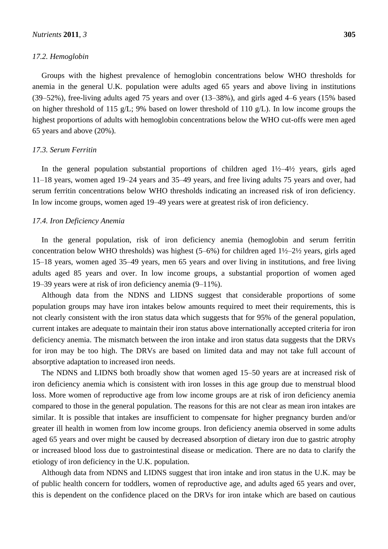#### *17.2. Hemoglobin*

Groups with the highest prevalence of hemoglobin concentrations below WHO thresholds for anemia in the general U.K. population were adults aged 65 years and above living in institutions (39–52%), free-living adults aged 75 years and over (13–38%), and girls aged 4–6 years (15% based on higher threshold of 115 g/L; 9% based on lower threshold of 110 g/L). In low income groups the highest proportions of adults with hemoglobin concentrations below the WHO cut-offs were men aged 65 years and above (20%).

#### *17.3. Serum Ferritin*

In the general population substantial proportions of children aged  $1\frac{1}{2}$ -4½ years, girls aged 11–18 years, women aged 19–24 years and 35–49 years, and free living adults 75 years and over, had serum ferritin concentrations below WHO thresholds indicating an increased risk of iron deficiency. In low income groups, women aged 19–49 years were at greatest risk of iron deficiency.

### *17.4. Iron Deficiency Anemia*

In the general population, risk of iron deficiency anemia (hemoglobin and serum ferritin concentration below WHO thresholds) was highest  $(5-6%)$  for children aged  $1\frac{1}{2}$ –2½ years, girls aged 15–18 years, women aged 35–49 years, men 65 years and over living in institutions, and free living adults aged 85 years and over. In low income groups, a substantial proportion of women aged 19–39 years were at risk of iron deficiency anemia (9–11%).

Although data from the NDNS and LIDNS suggest that considerable proportions of some population groups may have iron intakes below amounts required to meet their requirements, this is not clearly consistent with the iron status data which suggests that for 95% of the general population, current intakes are adequate to maintain their iron status above internationally accepted criteria for iron deficiency anemia. The mismatch between the iron intake and iron status data suggests that the DRVs for iron may be too high. The DRVs are based on limited data and may not take full account of absorptive adaptation to increased iron needs.

The NDNS and LIDNS both broadly show that women aged 15–50 years are at increased risk of iron deficiency anemia which is consistent with iron losses in this age group due to menstrual blood loss. More women of reproductive age from low income groups are at risk of iron deficiency anemia compared to those in the general population. The reasons for this are not clear as mean iron intakes are similar. It is possible that intakes are insufficient to compensate for higher pregnancy burden and/or greater ill health in women from low income groups. Iron deficiency anemia observed in some adults aged 65 years and over might be caused by decreased absorption of dietary iron due to gastric atrophy or increased blood loss due to gastrointestinal disease or medication. There are no data to clarify the etiology of iron deficiency in the U.K. population.

Although data from NDNS and LIDNS suggest that iron intake and iron status in the U.K. may be of public health concern for toddlers, women of reproductive age, and adults aged 65 years and over, this is dependent on the confidence placed on the DRVs for iron intake which are based on cautious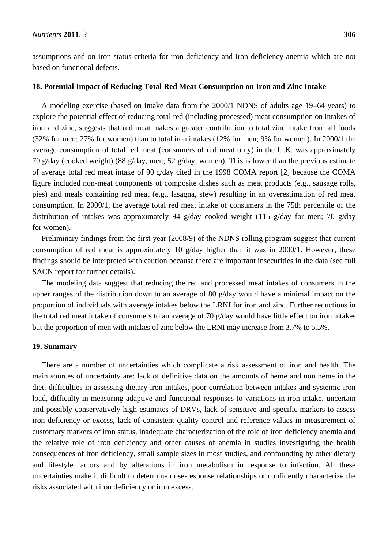assumptions and on iron status criteria for iron deficiency and iron deficiency anemia which are not based on functional defects.

#### **18. Potential Impact of Reducing Total Red Meat Consumption on Iron and Zinc Intake**

A modeling exercise (based on intake data from the 2000/1 NDNS of adults age 19–64 years) to explore the potential effect of reducing total red (including processed) meat consumption on intakes of iron and zinc, suggests that red meat makes a greater contribution to total zinc intake from all foods (32% for men; 27% for women) than to total iron intakes (12% for men; 9% for women). In 2000/1 the average consumption of total red meat (consumers of red meat only) in the U.K. was approximately 70 g/day (cooked weight) (88 g/day, men; 52 g/day, women). This is lower than the previous estimate of average total red meat intake of 90 g/day cited in the 1998 COMA report [2] because the COMA figure included non-meat components of composite dishes such as meat products (e.g., sausage rolls, pies) and meals containing red meat (e.g., lasagna, stew) resulting in an overestimation of red meat consumption. In 2000/1, the average total red meat intake of consumers in the 75th percentile of the distribution of intakes was approximately 94 g/day cooked weight (115 g/day for men; 70 g/day for women).

Preliminary findings from the first year (2008/9) of the NDNS rolling program suggest that current consumption of red meat is approximately 10 g/day higher than it was in 2000/1. However, these findings should be interpreted with caution because there are important insecurities in the data (see full SACN report for further details).

The modeling data suggest that reducing the red and processed meat intakes of consumers in the upper ranges of the distribution down to an average of 80 g/day would have a minimal impact on the proportion of individuals with average intakes below the LRNI for iron and zinc. Further reductions in the total red meat intake of consumers to an average of 70  $g$ /day would have little effect on iron intakes but the proportion of men with intakes of zinc below the LRNI may increase from 3.7% to 5.5%.

#### **19. Summary**

There are a number of uncertainties which complicate a risk assessment of iron and health. The main sources of uncertainty are: lack of definitive data on the amounts of heme and non heme in the diet, difficulties in assessing dietary iron intakes, poor correlation between intakes and systemic iron load, difficulty in measuring adaptive and functional responses to variations in iron intake, uncertain and possibly conservatively high estimates of DRVs, lack of sensitive and specific markers to assess iron deficiency or excess, lack of consistent quality control and reference values in measurement of customary markers of iron status, inadequate characterization of the role of iron deficiency anemia and the relative role of iron deficiency and other causes of anemia in studies investigating the health consequences of iron deficiency, small sample sizes in most studies, and confounding by other dietary and lifestyle factors and by alterations in iron metabolism in response to infection. All these uncertainties make it difficult to determine dose-response relationships or confidently characterize the risks associated with iron deficiency or iron excess.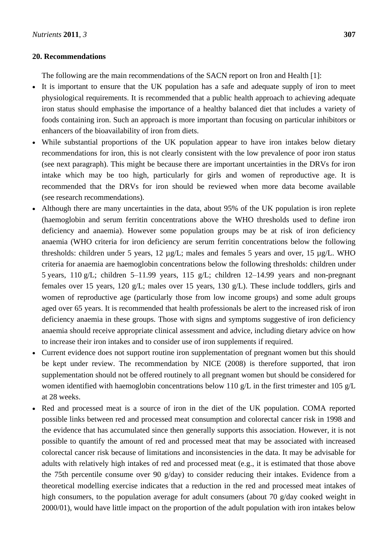## **20. Recommendations**

The following are the main recommendations of the SACN report on Iron and Health [1]:

- It is important to ensure that the UK population has a safe and adequate supply of iron to meet physiological requirements. It is recommended that a public health approach to achieving adequate iron status should emphasise the importance of a healthy balanced diet that includes a variety of foods containing iron. Such an approach is more important than focusing on particular inhibitors or enhancers of the bioavailability of iron from diets.
- While substantial proportions of the UK population appear to have iron intakes below dietary recommendations for iron, this is not clearly consistent with the low prevalence of poor iron status (see next paragraph). This might be because there are important uncertainties in the DRVs for iron intake which may be too high, particularly for girls and women of reproductive age. It is recommended that the DRVs for iron should be reviewed when more data become available (see research recommendations).
- Although there are many uncertainties in the data, about 95% of the UK population is iron replete (haemoglobin and serum ferritin concentrations above the WHO thresholds used to define iron deficiency and anaemia). However some population groups may be at risk of iron deficiency anaemia (WHO criteria for iron deficiency are serum ferritin concentrations below the following thresholds: children under 5 years, 12 µg/L; males and females 5 years and over, 15 µg/L. WHO criteria for anaemia are haemoglobin concentrations below the following thresholds: children under 5 years, 110 g/L; children 5–11.99 years, 115 g/L; children 12–14.99 years and non-pregnant females over 15 years, 120 g/L; males over 15 years, 130 g/L). These include toddlers, girls and women of reproductive age (particularly those from low income groups) and some adult groups aged over 65 years. It is recommended that health professionals be alert to the increased risk of iron deficiency anaemia in these groups. Those with signs and symptoms suggestive of iron deficiency anaemia should receive appropriate clinical assessment and advice, including dietary advice on how to increase their iron intakes and to consider use of iron supplements if required.
- Current evidence does not support routine iron supplementation of pregnant women but this should be kept under review. The recommendation by NICE (2008) is therefore supported, that iron supplementation should not be offered routinely to all pregnant women but should be considered for women identified with haemoglobin concentrations below 110 g/L in the first trimester and 105 g/L at 28 weeks.
- Red and processed meat is a source of iron in the diet of the UK population. COMA reported possible links between red and processed meat consumption and colorectal cancer risk in 1998 and the evidence that has accumulated since then generally supports this association. However, it is not possible to quantify the amount of red and processed meat that may be associated with increased colorectal cancer risk because of limitations and inconsistencies in the data. It may be advisable for adults with relatively high intakes of red and processed meat (e.g., it is estimated that those above the 75th percentile consume over 90 g/day) to consider reducing their intakes. Evidence from a theoretical modelling exercise indicates that a reduction in the red and processed meat intakes of high consumers, to the population average for adult consumers (about 70 g/day cooked weight in 2000/01), would have little impact on the proportion of the adult population with iron intakes below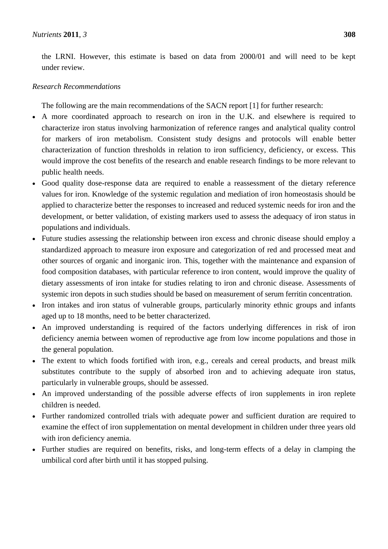the LRNI. However, this estimate is based on data from 2000/01 and will need to be kept under review.

## *Research Recommendations*

The following are the main recommendations of the SACN report [1] for further research:

- A more coordinated approach to research on iron in the U.K. and elsewhere is required to characterize iron status involving harmonization of reference ranges and analytical quality control for markers of iron metabolism. Consistent study designs and protocols will enable better characterization of function thresholds in relation to iron sufficiency, deficiency, or excess. This would improve the cost benefits of the research and enable research findings to be more relevant to public health needs.
- Good quality dose-response data are required to enable a reassessment of the dietary reference values for iron. Knowledge of the systemic regulation and mediation of iron homeostasis should be applied to characterize better the responses to increased and reduced systemic needs for iron and the development, or better validation, of existing markers used to assess the adequacy of iron status in populations and individuals.
- Future studies assessing the relationship between iron excess and chronic disease should employ a standardized approach to measure iron exposure and categorization of red and processed meat and other sources of organic and inorganic iron. This, together with the maintenance and expansion of food composition databases, with particular reference to iron content, would improve the quality of dietary assessments of iron intake for studies relating to iron and chronic disease. Assessments of systemic iron depots in such studies should be based on measurement of serum ferritin concentration.
- Iron intakes and iron status of vulnerable groups, particularly minority ethnic groups and infants aged up to 18 months, need to be better characterized.
- An improved understanding is required of the factors underlying differences in risk of iron deficiency anemia between women of reproductive age from low income populations and those in the general population.
- The extent to which foods fortified with iron, e.g., cereals and cereal products, and breast milk substitutes contribute to the supply of absorbed iron and to achieving adequate iron status, particularly in vulnerable groups, should be assessed.
- An improved understanding of the possible adverse effects of iron supplements in iron replete children is needed.
- Further randomized controlled trials with adequate power and sufficient duration are required to examine the effect of iron supplementation on mental development in children under three years old with iron deficiency anemia.
- Further studies are required on benefits, risks, and long-term effects of a delay in clamping the umbilical cord after birth until it has stopped pulsing.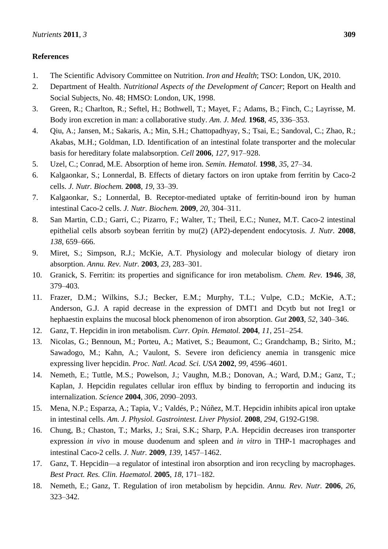# **References**

- 1. The Scientific Advisory Committee on Nutrition. *Iron and Health*; TSO: London, UK, 2010.
- 2. Department of Health. *Nutritional Aspects of the Development of Cancer*; Report on Health and Social Subjects, No. 48; HMSO: London, UK, 1998.
- 3. Green, R.; Charlton, R.; Seftel, H.; Bothwell, T.; Mayet, F.; Adams, B.; Finch, C.; Layrisse, M. Body iron excretion in man: a collaborative study. *Am. J. Med.* **1968**, *45*, 336–353.
- 4. Qiu, A.; Jansen, M.; Sakaris, A.; Min, S.H.; Chattopadhyay, S.; Tsai, E.; Sandoval, C.; Zhao, R.; Akabas, M.H.; Goldman, I.D. Identification of an intestinal folate transporter and the molecular basis for hereditary folate malabsorption. *Cell* **2006**, *127*, 917–928.
- 5. Uzel, C.; Conrad, M.E. Absorption of heme iron. *Semin. Hematol.* **1998**, *35*, 27–34.
- 6. Kalgaonkar, S.; Lonnerdal, B. Effects of dietary factors on iron uptake from ferritin by Caco-2 cells. *J. Nutr. Biochem.* **2008**, *19*, 33–39.
- 7. Kalgaonkar, S.; Lonnerdal, B. Receptor-mediated uptake of ferritin-bound iron by human intestinal Caco-2 cells. *J. Nutr. Biochem.* **2009**, *20*, 304–311.
- 8. San Martin, C.D.; Garri, C.; Pizarro, F.; Walter, T.; Theil, E.C.; Nunez, M.T. Caco-2 intestinal epithelial cells absorb soybean ferritin by mu(2) (AP2)-dependent endocytosis. *J. Nutr.* **2008**, *138*, 659–666.
- 9. Miret, S.; Simpson, R.J.; McKie, A.T. Physiology and molecular biology of dietary iron absorption. *Annu. Rev. Nutr.* **2003**, *23*, 283–301.
- 10. Granick, S. Ferritin: its properties and significance for iron metabolism. *Chem. Rev.* **1946**, *38*, 379–403.
- 11. Frazer, D.M.; Wilkins, S.J.; Becker, E.M.; Murphy, T.L.; Vulpe, C.D.; McKie, A.T.; Anderson, G.J. A rapid decrease in the expression of DMT1 and Dcytb but not Ireg1 or hephaestin explains the mucosal block phenomenon of iron absorption. *Gut* **2003**, *52*, 340–346.
- 12. Ganz, T. Hepcidin in iron metabolism. *Curr. Opin. Hematol.* **2004**, *11*, 251–254.
- 13. Nicolas, G.; Bennoun, M.; Porteu, A.; Mativet, S.; Beaumont, C.; Grandchamp, B.; Sirito, M.; Sawadogo, M.; Kahn, A.; Vaulont, S. Severe iron deficiency anemia in transgenic mice expressing liver hepcidin. *Proc. Natl. Acad. Sci. USA* **2002**, *99*, 4596–4601.
- 14. Nemeth, E.; Tuttle, M.S.; Powelson, J.; Vaughn, M.B.; Donovan, A.; Ward, D.M.; Ganz, T.; Kaplan, J. Hepcidin regulates cellular iron efflux by binding to ferroportin and inducing its internalization. *Science* **2004**, *306*, 2090–2093.
- 15. Mena, N.P.; Esparza, A.; Tapia, V.; Valdés, P.; Núñez, M.T. Hepcidin inhibits apical iron uptake in intestinal cells. *Am. J. Physiol. Gastrointest. Liver Physiol.* **2008**, *294*, G192-G198.
- 16. Chung, B.; Chaston, T.; Marks, J.; Srai, S.K.; Sharp, P.A. Hepcidin decreases iron transporter expression *in vivo* in mouse duodenum and spleen and *in vitro* in THP-1 macrophages and intestinal Caco-2 cells. *J. Nutr.* **2009**, *139*, 1457–1462.
- 17. Ganz, T. Hepcidin—a regulator of intestinal iron absorption and iron recycling by macrophages. *Best Pract. Res. Clin. Haematol.* **2005**, *18*, 171–182.
- 18. Nemeth, E.; Ganz, T. Regulation of iron metabolism by hepcidin. *Annu. Rev. Nutr.* **2006**, *26*, 323–342.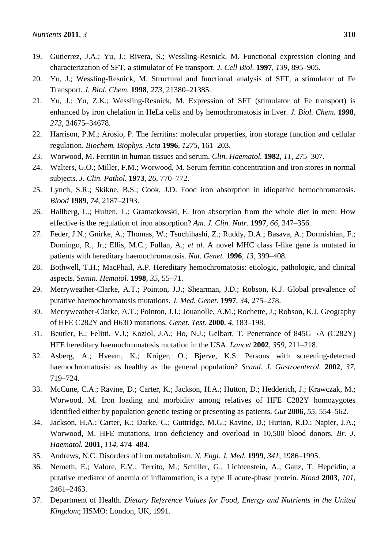- 19. Gutierrez, J.A.; Yu, J.; Rivera, S.; Wessling-Resnick, M. Functional expression cloning and characterization of SFT, a stimulator of Fe transport. *J. Cell Biol.* **1997**, *139*, 895–905.
- 20. Yu, J.; Wessling-Resnick, M. Structural and functional analysis of SFT, a stimulator of Fe Transport. *J. Biol. Chem.* **1998**, *273*, 21380–21385.
- 21. Yu, J.; Yu, Z.K.; Wessling-Resnick, M. Expression of SFT (stimulator of Fe transport) is enhanced by iron chelation in HeLa cells and by hemochromatosis in liver. *J. Biol. Chem.* **1998**, *273*, 34675–34678.
- 22. Harrison, P.M.; Arosio, P. The ferritins: molecular properties, iron storage function and cellular regulation. *Biochem. Biophys. Acta* **1996**, *1275*, 161–203.
- 23. Worwood, M. Ferritin in human tissues and serum. *Clin. Haematol.* **1982**, *11*, 275–307.
- 24. Walters, G.O.; Miller, F.M.; Worwood, M. Serum ferritin concentration and iron stores in normal subjects. *J. Clin. Pathol.* **1973**, *26*, 770–772.
- 25. Lynch, S.R.; Skikne, B.S.; Cook, J.D. Food iron absorption in idiopathic hemochromatosis. *Blood* **1989**, *74*, 2187–2193.
- 26. Hallberg, L.; Hulten, L.; Gramatkovski, E. Iron absorption from the whole diet in men: How effective is the regulation of iron absorption? *Am. J. Clin. Nutr.* **1997**, *66*, 347–356.
- 27. Feder, J.N.; Gnirke, A.; Thomas, W.; Tsuchihashi, Z.; Ruddy, D.A.; Basava, A.; Dormishian, F.; Domingo, R., Jr.; Ellis, M.C.; Fullan, A.; *et al.* A novel MHC class I-like gene is mutated in patients with hereditary haemochromatosis. *Nat. Genet.* **1996**, *13*, 399–408.
- 28. Bothwell, T.H.; MacPhail, A.P. Hereditary hemochromatosis: etiologic, pathologic, and clinical aspects. *Semin. Hematol.* **1998**, *35*, 55–71.
- 29. Merryweather-Clarke, A.T.; Pointon, J.J.; Shearman, J.D.; Robson, K.J. Global prevalence of putative haemochromatosis mutations. *J. Med. Genet.* **1997**, *34*, 275–278.
- 30. Merryweather-Clarke, A.T.; Pointon, J.J.; Jouanolle, A.M.; Rochette, J.; Robson, K.J. Geography of HFE C282Y and H63D mutations. *Genet. Test.* **2000**, *4*, 183–198.
- 31. Beutler, E.; Felitti, V.J.; Koziol, J.A.; Ho, N.J.; Gelbart, T. Penetrance of 845G→A (C282Y) HFE hereditary haemochromatosis mutation in the USA. *Lancet* **2002**, *359*, 211–218.
- 32. Asberg, A.; Hveem, K.; Krüger, O.; Bjerve, K.S. Persons with screening-detected haemochromatosis: as healthy as the general population? *Scand. J. Gastroenterol.* **2002**, *37*, 719–724.
- 33. McCune, C.A.; Ravine, D.; Carter, K.; Jackson, H.A.; Hutton, D.; Hedderich, J.; Krawczak, M.; Worwood, M. Iron loading and morbidity among relatives of HFE C282Y homozygotes identified either by population genetic testing or presenting as patients. *Gut* **2006**, *55*, 554–562.
- 34. Jackson, H.A.; Carter, K.; Darke, C.; Guttridge, M.G.; Ravine, D.; Hutton, R.D.; Napier, J.A.; Worwood, M. HFE mutations, iron deficiency and overload in 10,500 blood donors. *Br. J. Haematol.* **2001**, *114*, 474–484.
- 35. Andrews, N.C. Disorders of iron metabolism. *N. Engl. J. Med.* **1999**, *341*, 1986–1995.
- 36. Nemeth, E.; Valore, E.V.; Territo, M.; Schiller, G.; Lichtenstein, A.; Ganz, T. Hepcidin, a putative mediator of anemia of inflammation, is a type II acute-phase protein. *Blood* **2003**, *101*, 2461–2463.
- 37. Department of Health. *Dietary Reference Values for Food, Energy and Nutrients in the United Kingdom*; HSMO: London, UK, 1991.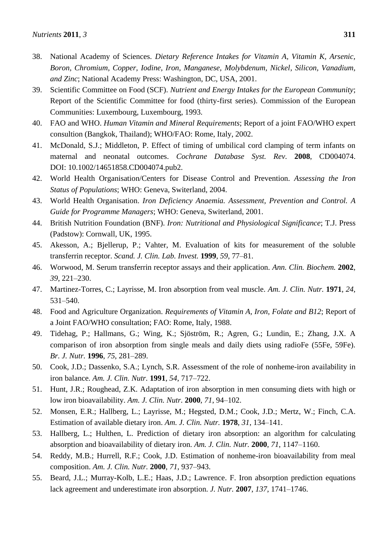- 38. National Academy of Sciences. *Dietary Reference Intakes for Vitamin A, Vitamin K, Arsenic, Boron, Chromium, Copper, Iodine, Iron, Manganese, Molybdenum, Nickel, Silicon, Vanadium, and Zinc*; National Academy Press: Washington, DC, USA, 2001.
- 39. Scientific Committee on Food (SCF). *Nutrient and Energy Intakes for the European Community*; Report of the Scientific Committee for food (thirty-first series). Commission of the European Communities: Luxembourg, Luxembourg, 1993.
- 40. FAO and WHO. *Human Vitamin and Mineral Requirements*; Report of a joint FAO/WHO expert consultion (Bangkok, Thailand); WHO/FAO: Rome, Italy, 2002.
- 41. McDonald, S.J.; Middleton, P. Effect of timing of umbilical cord clamping of term infants on maternal and neonatal outcomes. *Cochrane Database Syst. Rev.* **2008**, CD004074. DOI: 10.1002/14651858.CD004074.pub2.
- 42. World Health Organisation/Centers for Disease Control and Prevention. *Assessing the Iron Status of Populations*; WHO: Geneva, Switerland, 2004.
- 43. World Health Organisation. *Iron Deficiency Anaemia. Assessment, Prevention and Control. A Guide for Programme Managers*; WHO: Geneva, Switerland, 2001.
- 44. British Nutrition Foundation (BNF). *Iron: Nutritional and Physiological Significance*; T.J. Press (Padstow): Cornwall, UK, 1995.
- 45. Akesson, A.; Bjellerup, P.; Vahter, M. Evaluation of kits for measurement of the soluble transferrin receptor. *Scand. J. Clin. Lab. Invest.* **1999**, *59*, 77–81.
- 46. Worwood, M. Serum transferrin receptor assays and their application. *Ann. Clin. Biochem.* **2002**, *39*, 221–230.
- 47. Martinez-Torres, C.; Layrisse, M. Iron absorption from veal muscle. *Am. J. Clin. Nutr.* **1971**, *24*, 531–540.
- 48. Food and Agriculture Organization. *Requirements of Vitamin A, Iron, Folate and B12*; Report of a Joint FAO/WHO consultation; FAO: Rome, Italy, 1988.
- 49. Tidehag, P.; Hallmans, G.; Wing, K.; Sjöström, R.; Agren, G.; Lundin, E.; Zhang, J.X. A comparison of iron absorption from single meals and daily diets using radioFe (55Fe, 59Fe). *Br. J. Nutr.* **1996**, *75*, 281–289.
- 50. Cook, J.D.; Dassenko, S.A.; Lynch, S.R. Assessment of the role of nonheme-iron availability in iron balance*. Am. J. Clin. Nutr.* **1991**, *54*, 717–722.
- 51. Hunt, J.R.; Roughead, Z.K. Adaptation of iron absorption in men consuming diets with high or low iron bioavailability. *Am. J. Clin. Nutr.* **2000**, *71*, 94–102.
- 52. Monsen, E.R.; Hallberg, L.; Layrisse, M.; Hegsted, D.M.; Cook, J.D.; Mertz, W.; Finch, C.A. Estimation of available dietary iron. *Am. J. Clin. Nutr.* **1978**, *31*, 134–141.
- 53. Hallberg, L.; Hulthen, L. Prediction of dietary iron absorption: an algorithm for calculating absorption and bioavailability of dietary iron. *Am. J. Clin. Nutr.* **2000**, *71*, 1147–1160.
- 54. Reddy, M.B.; Hurrell, R.F.; Cook, J.D. Estimation of nonheme-iron bioavailability from meal composition. *Am. J. Clin. Nutr.* **2000**, *71*, 937–943.
- 55. Beard, J.L.; Murray-Kolb, L.E.; Haas, J.D.; Lawrence. F. Iron absorption prediction equations lack agreement and underestimate iron absorption. *J. Nutr.* **2007**, *137*, 1741–1746.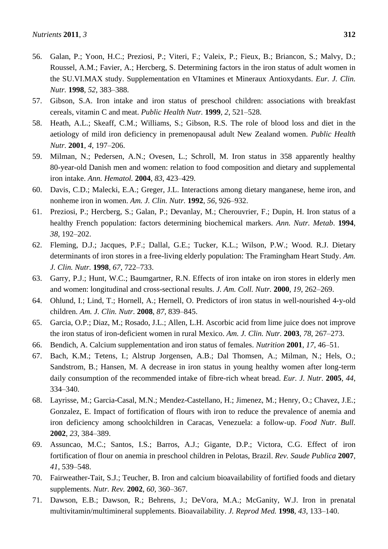- 56. Galan, P.; Yoon, H.C.; Preziosi, P.; Viteri, F.; Valeix, P.; Fieux, B.; Briancon, S.; Malvy, D.; Roussel, A.M.; Favier, A.; Hercberg, S. Determining factors in the iron status of adult women in the SU.VI.MAX study. Supplementation en VItamines et Mineraux Antioxydants. *Eur. J. Clin. Nutr.* **1998**, *52*, 383–388.
- 57. Gibson, S.A. Iron intake and iron status of preschool children: associations with breakfast cereals, vitamin C and meat. *Public Health Nutr.* **1999**, *2*, 521–528.
- 58. Heath, A.L.; Skeaff, C.M.; Williams, S.; Gibson, R.S. The role of blood loss and diet in the aetiology of mild iron deficiency in premenopausal adult New Zealand women. *Public Health Nutr.* **2001**, *4*, 197–206.
- 59. Milman, N.; Pedersen, A.N.; Ovesen, L.; Schroll, M. Iron status in 358 apparently healthy 80-year-old Danish men and women: relation to food composition and dietary and supplemental iron intake. *Ann. Hematol.* **2004**, *83*, 423–429.
- 60. Davis, C.D.; Malecki, E.A.; Greger, J.L. Interactions among dietary manganese, heme iron, and nonheme iron in women. *Am. J. Clin. Nutr.* **1992**, *56*, 926–932.
- 61. Preziosi, P.; Hercberg, S.; Galan, P.; Devanlay, M.; Cherouvrier, F.; Dupin, H. Iron status of a healthy French population: factors determining biochemical markers. *Ann. Nutr. Metab*. **1994**, *38*, 192–202.
- 62. Fleming, D.J.; Jacques, P.F.; Dallal, G.E.; Tucker, K.L.; Wilson, P.W.; Wood. R.J. Dietary determinants of iron stores in a free-living elderly population: The Framingham Heart Study. *Am. J. Clin. Nutr.* **1998**, *67*, 722–733.
- 63. Garry, P.J.; Hunt, W.C.; Baumgartner, R.N. Effects of iron intake on iron stores in elderly men and women: longitudinal and cross-sectional results. *J. Am. Coll. Nutr.* **2000**, *19*, 262–269.
- 64. Ohlund, I.; Lind, T.; Hornell, A.; Hernell, O. Predictors of iron status in well-nourished 4-y-old children. *Am. J. Clin. Nutr.* **2008**, *87*, 839–845.
- 65. Garcia, O.P.; Diaz, M.; Rosado, J.L.; Allen, L.H. Ascorbic acid from lime juice does not improve the iron status of iron-deficient women in rural Mexico. *Am. J. Clin. Nutr.* **2003**, *78*, 267–273.
- 66. Bendich, A. Calcium supplementation and iron status of females. *Nutrition* **2001**, *17*, 46–51.
- 67. Bach, K.M.; Tetens, I.; Alstrup Jorgensen, A.B.; Dal Thomsen, A.; Milman, N.; Hels, O.; Sandstrom, B.; Hansen, M. A decrease in iron status in young healthy women after long-term daily consumption of the recommended intake of fibre-rich wheat bread. *Eur. J. Nutr.* **2005**, *44*, 334–340.
- 68. Layrisse, M.; Garcia-Casal, M.N.; Mendez-Castellano, H.; Jimenez, M.; Henry, O.; Chavez, J.E.; Gonzalez, E. Impact of fortification of flours with iron to reduce the prevalence of anemia and iron deficiency among schoolchildren in Caracas, Venezuela: a follow-up. *Food Nutr. Bull.* **2002**, *23*, 384–389.
- 69. Assuncao, M.C.; Santos, I.S.; Barros, A.J.; Gigante, D.P.; Victora, C.G. Effect of iron fortification of flour on anemia in preschool children in Pelotas, Brazil. *Rev. Saude Publica* **2007**, *41*, 539–548.
- 70. Fairweather-Tait, S.J.; Teucher, B. Iron and calcium bioavailability of fortified foods and dietary supplements. *Nutr. Rev.* **2002**, *60*, 360–367.
- 71. Dawson, E.B.; Dawson, R.; Behrens, J.; DeVora, M.A.; McGanity, W.J. Iron in prenatal multivitamin/multimineral supplements. Bioavailability. *J. Reprod Med.* **1998**, *43*, 133–140.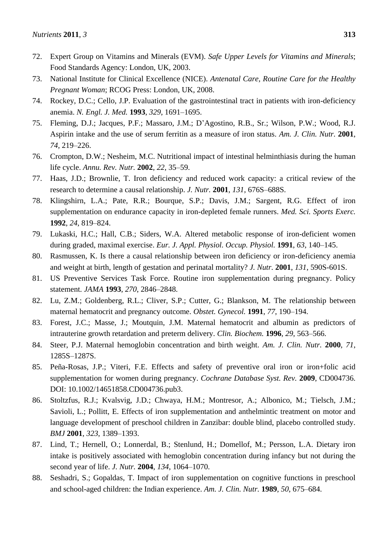- 72. Expert Group on Vitamins and Minerals (EVM). *Safe Upper Levels for Vitamins and Minerals*; Food Standards Agency: London, UK, 2003.
- 73. National Institute for Clinical Excellence (NICE). *Antenatal Care, Routine Care for the Healthy Pregnant Woman*; RCOG Press: London, UK, 2008.
- 74. Rockey, D.C.; Cello, J.P. Evaluation of the gastrointestinal tract in patients with iron-deficiency anemia. *N. Engl. J. Med.* **1993**, *329*, 1691–1695.
- 75. Fleming, D.J.; Jacques, P.F.; Massaro, J.M.; D'Agostino, R.B., Sr.; Wilson, P.W.; Wood, R.J. Aspirin intake and the use of serum ferritin as a measure of iron status. *Am. J. Clin. Nutr.* **2001**, *74*, 219–226.
- 76. Crompton, D.W.; Nesheim, M.C. Nutritional impact of intestinal helminthiasis during the human life cycle. *Annu. Rev. Nutr.* **2002**, *22*, 35–59.
- 77. Haas, J.D.; Brownlie, T. Iron deficiency and reduced work capacity: a critical review of the research to determine a causal relationship. *J. Nutr.* **2001**, *131*, 676S–688S.
- 78. Klingshirn, L.A.; Pate, R.R.; Bourque, S.P.; Davis, J.M.; Sargent, R.G. Effect of iron supplementation on endurance capacity in iron-depleted female runners. *Med. Sci. Sports Exerc.* **1992**, *24*, 819–824.
- 79. Lukaski, H.C.; Hall, C.B.; Siders, W.A. Altered metabolic response of iron-deficient women during graded, maximal exercise. *Eur. J. Appl. Physiol. Occup. Physiol.* **1991**, *63*, 140–145.
- 80. Rasmussen, K. Is there a causal relationship between iron deficiency or iron-deficiency anemia and weight at birth, length of gestation and perinatal mortality? *J. Nutr.* **2001**, *131*, 590S-601S.
- 81. US Preventive Services Task Force. Routine iron supplementation during pregnancy. Policy statement. *JAMA* **1993**, *270*, 2846–2848.
- 82. Lu, Z.M.; Goldenberg, R.L.; Cliver, S.P.; Cutter, G.; Blankson, M. The relationship between maternal hematocrit and pregnancy outcome. *Obstet. Gynecol.* **1991**, *77*, 190–194.
- 83. Forest, J.C.; Masse, J.; Moutquin, J.M. Maternal hematocrit and albumin as predictors of intrauterine growth retardation and preterm delivery. *Clin. Biochem.* **1996**, *29*, 563–566.
- 84. Steer, P.J. Maternal hemoglobin concentration and birth weight. *Am. J. Clin. Nutr.* **2000**, *71*, 1285S–1287S.
- 85. Peña-Rosas, J.P.; Viteri, F.E. Effects and safety of preventive oral iron or iron+folic acid supplementation for women during pregnancy. *Cochrane Database Syst. Rev.* **2009**, CD004736. DOI: 10.1002/14651858.CD004736.pub3.
- 86. Stoltzfus, R.J.; Kvalsvig, J.D.; Chwaya, H.M.; Montresor, A.; Albonico, M.; Tielsch, J.M.; Savioli, L.; Pollitt, E. Effects of iron supplementation and anthelmintic treatment on motor and language development of preschool children in Zanzibar: double blind, placebo controlled study. *BMJ* **2001**, *323*, 1389–1393.
- 87. Lind, T.; Hernell, O.; Lonnerdal, B.; Stenlund, H.; Domellof, M.; Persson, L.A. Dietary iron intake is positively associated with hemoglobin concentration during infancy but not during the second year of life. *J. Nutr.* **2004**, *134*, 1064–1070.
- 88. Seshadri, S.; Gopaldas, T. Impact of iron supplementation on cognitive functions in preschool and school-aged children: the Indian experience. *Am. J. Clin. Nutr.* **1989**, *50*, 675–684.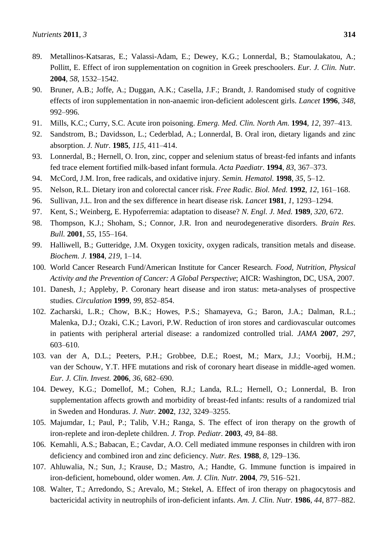- 89. Metallinos-Katsaras, E.; Valassi-Adam, E.; Dewey, K.G.; Lonnerdal, B.; Stamoulakatou, A.; Pollitt, E. Effect of iron supplementation on cognition in Greek preschoolers. *Eur. J. Clin. Nutr.* **2004**, *58*, 1532–1542.
- 90. Bruner, A.B.; Joffe, A.; Duggan, A.K.; Casella, J.F.; Brandt, J. Randomised study of cognitive effects of iron supplementation in non-anaemic iron-deficient adolescent girls. *Lancet* **1996**, *348*, 992–996.
- 91. Mills, K.C.; Curry, S.C. Acute iron poisoning. *Emerg. Med. Clin. North Am.* **1994**, *12*, 397–413.
- 92. Sandstrom, B.; Davidsson, L.; Cederblad, A.; Lonnerdal, B. Oral iron, dietary ligands and zinc absorption. *J. Nutr.* **1985**, *115*, 411–414.
- 93. Lonnerdal, B.; Hernell, O. Iron, zinc, copper and selenium status of breast-fed infants and infants fed trace element fortified milk-based infant formula. *Acta Paediatr.* **1994**, *83*, 367–373.
- 94. McCord, J.M. Iron, free radicals, and oxidative injury. *Semin. Hematol.* **1998**, *35*, 5–12.
- 95. Nelson, R.L. Dietary iron and colorectal cancer risk. *Free Radic. Biol. Med.* **1992**, *12*, 161–168.
- 96. Sullivan, J.L. Iron and the sex difference in heart disease risk. *Lancet* **1981**, *1*, 1293–1294.
- 97. Kent, S.; Weinberg, E. Hypoferremia: adaptation to disease? *N. Engl. J. Med.* **1989**, *320*, 672.
- 98. Thompson, K.J.; Shoham, S.; Connor, J.R. Iron and neurodegenerative disorders. *Brain Res. Bull.* **2001**, *55*, 155–164.
- 99. Halliwell, B.; Gutteridge, J.M. Oxygen toxicity, oxygen radicals, transition metals and disease. *Biochem. J.* **1984**, *219*, 1–14.
- 100. World Cancer Research Fund/American Institute for Cancer Research. *Food, Nutrition, Physical Activity and the Prevention of Cancer: A Global Perspective*; AICR: Washington, DC, USA, 2007.
- 101. Danesh, J.; Appleby, P. Coronary heart disease and iron status: meta-analyses of prospective studies. *Circulation* **1999**, *99*, 852–854.
- 102. Zacharski, L.R.; Chow, B.K.; Howes, P.S.; Shamayeva, G.; Baron, J.A.; Dalman, R.L.; Malenka, D.J.; Ozaki, C.K.; Lavori, P.W. Reduction of iron stores and cardiovascular outcomes in patients with peripheral arterial disease: a randomized controlled trial. *JAMA* **2007**, *297*, 603–610.
- 103. van der A, D.L.; Peeters, P.H.; Grobbee, D.E.; Roest, M.; Marx, J.J.; Voorbij, H.M.; van der Schouw, Y.T. HFE mutations and risk of coronary heart disease in middle-aged women. *Eur. J. Clin. Invest.* **2006**, *36*, 682–690.
- 104. Dewey, K.G.; Domellof, M.; Cohen, R.J.; Landa, R.L.; Hernell, O.; Lonnerdal, B. Iron supplementation affects growth and morbidity of breast-fed infants: results of a randomized trial in Sweden and Honduras. *J. Nutr.* **2002**, *132*, 3249–3255.
- 105. Majumdar, I.; Paul, P.; Talib, V.H.; Ranga, S. The effect of iron therapy on the growth of iron-replete and iron-deplete children. *J. Trop. Pediatr.* **2003**, *49*, 84–88.
- 106. Kemahli, A.S.; Babacan, E.; Cavdar, A.O. Cell mediated immune responses in children with iron deficiency and combined iron and zinc deficiency. *Nutr. Res.* **1988**, *8*, 129–136.
- 107. Ahluwalia, N.; Sun, J.; Krause, D.; Mastro, A.; Handte, G. Immune function is impaired in iron-deficient, homebound, older women. *Am. J. Clin. Nutr.* **2004**, *79*, 516–521.
- 108. Walter, T.; Arredondo, S.; Arevalo, M.; Stekel, A. Effect of iron therapy on phagocytosis and bactericidal activity in neutrophils of iron-deficient infants. *Am. J. Clin. Nutr.* **1986**, *44*, 877–882.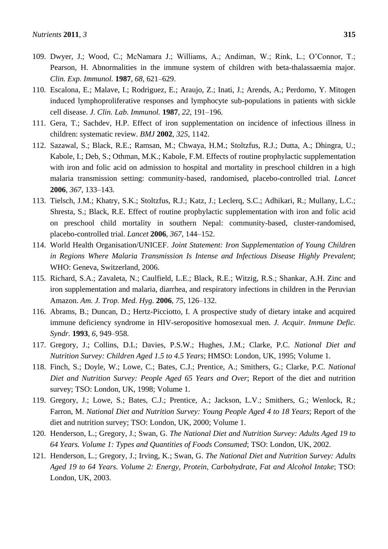- 109. Dwyer, J.; Wood, C.; McNamara J.; Williams, A.; Andiman, W.; Rink, L.; O'Connor, T.; Pearson, H. Abnormalities in the immune system of children with beta-thalassaemia major. *Clin. Exp. Immunol.* **1987**, *68*, 621–629.
- 110. Escalona, E.; Malave, I.; Rodriguez, E.; Araujo, Z.; Inati, J.; Arends, A.; Perdomo, Y. Mitogen induced lymphoproliferative responses and lymphocyte sub-populations in patients with sickle cell disease. *J. Clin. Lab. Immunol.* **1987**, *22*, 191–196.
- 111. Gera, T.; Sachdev, H.P. Effect of iron supplementation on incidence of infectious illness in children: systematic review. *BMJ* **2002**, *325*, 1142.
- 112. Sazawal, S.; Black, R.E.; Ramsan, M.; Chwaya, H.M.; Stoltzfus, R.J.; Dutta, A.; Dhingra, U.; Kabole, I.; Deb, S.; Othman, M.K.; Kabole, F.M. Effects of routine prophylactic supplementation with iron and folic acid on admission to hospital and mortality in preschool children in a high malaria transmission setting: community-based, randomised, placebo-controlled trial. *Lancet* **2006**, *367*, 133–143.
- 113. Tielsch, J.M.; Khatry, S.K.; Stoltzfus, R.J.; Katz, J.; Leclerq, S.C.; Adhikari, R.; Mullany, L.C.; Shresta, S.; Black, R.E. Effect of routine prophylactic supplementation with iron and folic acid on preschool child mortality in southern Nepal: community-based, cluster-randomised, placebo-controlled trial. *Lancet* **2006**, *367*, 144–152.
- 114. World Health Organisation/UNICEF. *Joint Statement: Iron Supplementation of Young Children in Regions Where Malaria Transmission Is Intense and Infectious Disease Highly Prevalent*; WHO: Geneva, Switzerland, 2006.
- 115. Richard, S.A.; Zavaleta, N.; Caulfield, L.E.; Black, R.E.; Witzig, R.S.; Shankar, A.H. Zinc and iron supplementation and malaria, diarrhea, and respiratory infections in children in the Peruvian Amazon. *Am. J. Trop. Med. Hyg.* **2006**, *75*, 126–132.
- 116. Abrams, B.; Duncan, D.; Hertz-Picciotto, I. A prospective study of dietary intake and acquired immune deficiency syndrome in HIV-seropositive homosexual men. *J. Acquir. Immune Defic. Syndr.* **1993**, *6*, 949–958.
- 117. Gregory, J.; Collins, D.L; Davies, P.S.W.; Hughes, J.M.; Clarke, P.C. *National Diet and Nutrition Survey: Children Aged 1.5 to 4.5 Years*; HMSO: London, UK, 1995; Volume 1.
- 118. Finch, S.; Doyle, W.; Lowe, C.; Bates, C.J.; Prentice, A.; Smithers, G.; Clarke, P.C. *National Diet and Nutrition Survey: People Aged 65 Years and Over*; Report of the diet and nutrition survey; TSO: London, UK, 1998; Volume 1.
- 119. Gregory, J.; Lowe, S.; Bates, C.J.; Prentice, A.; Jackson, L.V.; Smithers, G.; Wenlock, R.; Farron, M. *National Diet and Nutrition Survey: Young People Aged 4 to 18 Years*; Report of the diet and nutrition survey; TSO: London, UK, 2000; Volume 1.
- 120. Henderson, L.; Gregory, J.; Swan, G. *The National Diet and Nutrition Survey: Adults Aged 19 to 64 Years. Volume 1: Types and Quantities of Foods Consumed*; TSO: London, UK, 2002.
- 121. Henderson, L.; Gregory, J.; Irving, K.; Swan, G. *The National Diet and Nutrition Survey: Adults Aged 19 to 64 Years. Volume 2: Energy, Protein, Carbohydrate, Fat and Alcohol Intake*; TSO: London, UK, 2003.